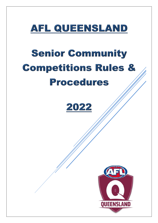

# **Senior Community Competitions Rules & Procedures**

## 2022

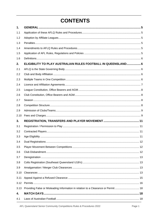### **CONTENTS**

| 1.   |                                                                                    |  |
|------|------------------------------------------------------------------------------------|--|
| 1.1  |                                                                                    |  |
| 1.2  |                                                                                    |  |
| 1.3  |                                                                                    |  |
| 1.4  |                                                                                    |  |
| 1.5  |                                                                                    |  |
| 1.6  |                                                                                    |  |
| 2.   | ELIGIBILITY TO PLAY AUSTRALIAN RULES FOOTBALL IN QUEENSLAND 6                      |  |
| 2.1  |                                                                                    |  |
| 2.2  |                                                                                    |  |
| 2.3  |                                                                                    |  |
| 2.4  |                                                                                    |  |
| 2.5  |                                                                                    |  |
| 2.6  |                                                                                    |  |
| 2.7  |                                                                                    |  |
| 2.8  |                                                                                    |  |
| 2.9  |                                                                                    |  |
| 2.10 |                                                                                    |  |
| 3.   |                                                                                    |  |
| 3.1  |                                                                                    |  |
| 3.2  |                                                                                    |  |
| 3.3  |                                                                                    |  |
| 3.4  |                                                                                    |  |
| 3.5  |                                                                                    |  |
| 3.6  |                                                                                    |  |
| 3.7  |                                                                                    |  |
| 3.8  |                                                                                    |  |
| 3.9  |                                                                                    |  |
| 3.10 |                                                                                    |  |
| 3.11 |                                                                                    |  |
| 3.12 |                                                                                    |  |
| 3.13 | Providing False or Misleading Information in relation to a Clearance or Permit  18 |  |
| 4.   |                                                                                    |  |
| 4.1  |                                                                                    |  |

AFL Queensland Senior Community Competitions Rules & Procedures 2022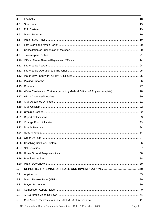| 4.2  |                                                                                 |  |
|------|---------------------------------------------------------------------------------|--|
| 4.3  |                                                                                 |  |
| 4.4  |                                                                                 |  |
| 4.5  |                                                                                 |  |
| 4.6  |                                                                                 |  |
| 4.7  |                                                                                 |  |
| 4.8  |                                                                                 |  |
| 4.9  |                                                                                 |  |
| 4.10 |                                                                                 |  |
| 4.11 |                                                                                 |  |
| 4.12 |                                                                                 |  |
| 4.13 |                                                                                 |  |
| 4.14 |                                                                                 |  |
| 4.15 |                                                                                 |  |
| 4.16 | Water Carriers and Trainers (including Medical Officers & Physiotherapists)  28 |  |
| 4.17 |                                                                                 |  |
| 4.18 |                                                                                 |  |
| 4.19 |                                                                                 |  |
| 4.20 |                                                                                 |  |
| 4.21 |                                                                                 |  |
| 4.22 |                                                                                 |  |
| 4.23 |                                                                                 |  |
| 4.24 |                                                                                 |  |
| 4.25 |                                                                                 |  |
| 4.26 |                                                                                 |  |
| 4.27 |                                                                                 |  |
| 4.28 |                                                                                 |  |
| 4.29 |                                                                                 |  |
| 4.30 |                                                                                 |  |
| 5.   |                                                                                 |  |
| 5.1  |                                                                                 |  |
| 5.2  |                                                                                 |  |
| 5.3  |                                                                                 |  |
| 5.4  |                                                                                 |  |
| 5.5  |                                                                                 |  |
| 5.6  |                                                                                 |  |

AFL Queensland Senior Community Competitions Rules & Procedures 2022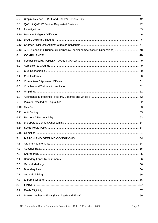| AFL Queensland Tribunal Guidelines (All senior competitions in Queensland)  48 |  |
|--------------------------------------------------------------------------------|--|
|                                                                                |  |
|                                                                                |  |
|                                                                                |  |
|                                                                                |  |
|                                                                                |  |
|                                                                                |  |
|                                                                                |  |
|                                                                                |  |
|                                                                                |  |
|                                                                                |  |
|                                                                                |  |
|                                                                                |  |
|                                                                                |  |
|                                                                                |  |
|                                                                                |  |
|                                                                                |  |
|                                                                                |  |
|                                                                                |  |
|                                                                                |  |
|                                                                                |  |
|                                                                                |  |
|                                                                                |  |
|                                                                                |  |
|                                                                                |  |
|                                                                                |  |
|                                                                                |  |
|                                                                                |  |
|                                                                                |  |
|                                                                                |  |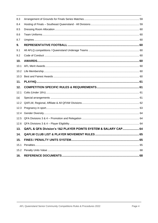| 8.3  |                                                                |    |
|------|----------------------------------------------------------------|----|
| 8.4  |                                                                |    |
| 8.5  |                                                                |    |
| 8.6  |                                                                |    |
| 8.7  |                                                                |    |
| 9.   |                                                                |    |
| 9.1  |                                                                |    |
| 9.2  |                                                                |    |
| 10.  |                                                                |    |
| 10.1 |                                                                |    |
| 10.2 |                                                                |    |
| 10.3 |                                                                |    |
| 11.  |                                                                |    |
| 12.  |                                                                |    |
| 12.1 |                                                                |    |
| (a)  |                                                                |    |
| 12.2 |                                                                |    |
| 12.3 |                                                                |    |
| 12.4 |                                                                |    |
| 12.5 |                                                                |    |
| 12.6 |                                                                |    |
| 13.  | QAFL & QFA Division's 1&2 PLAYER POINTS SYSTEM & SALARY CAP 64 |    |
| 14.  | <b>QAFLW CLUB LIST &amp; PLAYER MOVEMENT RULES.</b><br>        | 65 |
| 15.  |                                                                |    |
| 15.1 |                                                                |    |
| 15.2 |                                                                |    |
| 16.  |                                                                |    |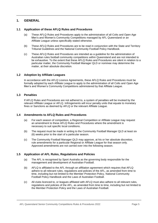#### <span id="page-5-0"></span>**1. GENERAL**

#### <span id="page-5-1"></span>**1.1 Application of these AFLQ Rules and Procedures**

- (a) These AFLQ Rules and Procedures apply to the administration of all Colts and Open Age Men's and Women's Community Competitions managed by AFL Queensland or an Affiliate League unless specifically stated otherwise.
- (b) These AFLQ Rules and Procedures are to be read in conjunction with the State and Territory Tribunal Guidelines and the National Community Football Policy Handbook.
- (c) These AFLQ Rules and Procedures are intended as a guideline for the administration of Australian rules football community competitions within Queensland and are not intended to be exhaustive. To the extent that these AFLQ Rules and Procedures are silent in relation to a particular matter, the Community Football Manager QLD or nominee may determine the matter, at their absolute discretion.

#### <span id="page-5-2"></span>**1.2 Adoption by Affiliate Leagues**

In accordance with the AFLQ Licence Agreements, these AFLQ Rules and Procedures must be formally adopted by each Affiliate League to apply to the administration of all Colts and Open Age Men's and Women's Community Competitions administered by that Affiliate League.

#### <span id="page-5-3"></span>**1.3 Penalties**

If AFLQ Rules and Procedures are not adhered to, a system of penalties will be invoked by the relevant Affiliate League or AFLQ. Infringements will incur penalty units that equate to monetary fines or Sanctions as deemed by AFLQ or the relevant Affiliate League.

#### <span id="page-5-4"></span>**1.4 Amendments to AFLQ Rules and Procedures**

- (a) For each season of competition, a Regional Competition or Affiliate League may request an amendment to these AFLQ Rules and Procedures where the amendment is necessary to suit specific local conditions.
- (b) The request must be made in writing to the Community Football Manager QLD at least six (6) weeks prior to the start of a particular season.
- (c) The Community Football Manager QLD may approve, at his or her absolute discretion, rule amendments for a particular Regional or Affiliate League for that season only. Approved amendments are not carried over into the following season.

#### <span id="page-5-5"></span>**1.5 Application of AFL Rules, Regulations and Policies**

- (a) The AFL is recognised by Sport Australia as the governing body responsible for the management and development of Australian Football.
- (b) AFLQ is affiliated to the AFL through an affiliation agreement which requires that AFLQ adhere to all relevant rules, regulations and policies of the AFL, as amended from time to time, including but not limited to the Member Protection Policy, National Community Football Policy Handbook and the Laws of Australian Football.
- (c) All clubs licenced to, or leagues affiliated with AFLQ must also adhere to all relevant rules, regulations and policies of the AFL, as amended from time to time, including but not limited to the Member Protection Policy and the Laws of Australian Football.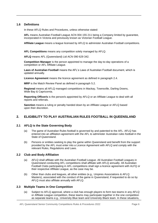#### <span id="page-6-0"></span>**1.6 Definitions**

In these AFLQ Rules and Procedures, unless otherwise stated:

**AFL** means Australian Football League ACN 004 155 211 being a Company limited by guarantee, incorporated in Victoria and previously known as Victorian Football League.

**Affiliate League** means a league licensed by AFLQ to administer Australian Football competitions.

**AFL Competitions** means any competition solely managed by AFLQ.

**AFLQ** means AFL (Queensland) Ltd ACN 090 629 342.

**Competition Manager** is the person appointed to manage the day-to-day operations of a competition or AFL Affiliate League.

**Laws of Australian Football** means the AFL's Laws of Australian Football document, which is updated annually.

**Licence Agreement** means the licence agreement as defined in paragraph 2.4.

**MRP** is the Match Review Panel as defined in paragraph 5.2.

**Regional** means all AFLQ managed competitions in Mackay, Townsville, Darling Downs, Wide Bay & Capricornia.

**Reporting Officer/s** is the person/s appointed by AFLQ or an Affiliate League to deal with all reports and referrals.

**Sanction** means a ruling or penalty handed down by an Affiliate League or AFLQ based upon their discretion.

#### <span id="page-6-1"></span>**2. ELIGIBILITY TO PLAY AUSTRALIAN RULES FOOTBALL IN QUEENSLAND**

#### <span id="page-6-2"></span>**2.1 AFLQ is the State Governing Body**

- (a) The game of Australian Rules football is governed by and patented to the AFL. AFLQ has entered into an affiliation agreement with the AFL to administer Australian rules football in the State of Queensland.
- (b) Persons or entities seeking to play the game within Queensland and benefit from the support provided by the AFL must enter into a Licence Agreement with AFLQ and comply with the relevant Rules, Regulations and Laws.

#### <span id="page-6-3"></span>**2.2 Club and Body Affiliation**

- (a) AFLQ shall affiliate with the Australian Football League. All Australian Football Leagues in Queensland conducting AFL competitions shall affiliate with AFLQ annually. All Australian Football Clubs participating in AFL competitions shall sign a licence agreement with ALFQ or their respective Affiliate League, as the case may be.
- (b) Other than clubs and leagues, all other entities (e.g., Umpires Associations & AFLQ Masters), associated with the conduct of the game in Queensland, if requested to do so by AFLQ must also affiliate annually with AFLQ.

#### <span id="page-6-5"></span><span id="page-6-4"></span>**2.3 Multiple Teams in One Competition**

(a) Subject to AFLQ approval, where a club has enough players to form two teams in any AFLQ or Affiliate League competition, these teams may participate together in the one competition as separate teams e.g., University Blue team and University Black team. In these situations,

AFL Queensland Senior Community Competitions Rules & Procedures 2022 **Page 6** Page 6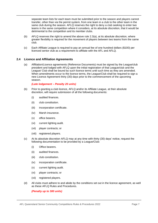separate team lists for each team must be submitted prior to the season and players cannot transfer, other than via the permit system, from one team in a club to the other team in the same club during the season. AFLQ reserves the right to deny a club seeking to enter two teams in the same competition where it considers, at its absolute discretion, that it would be detrimental to the competition and its member clubs.

- (b) AFLQ reserves the right to amend the above rule [2.3\(a\), a](#page-6-5)t its absolute discretion, where greater flexibility is required for the movement of players between two teams from the same club.
- (c) Each Affiliate League is required to pay an annual fee of one hundred dollars (\$100) per licenced senior club as a requirement to affiliate with the AFL and AFLQ.

#### <span id="page-7-0"></span>**2.4 Licence and Affiliation Agreements**

(a) Affiliation/Licence agreements (Reference Documents) must be signed by the League/club president and lodged with AFLQ upon the initial registration of that League/club and the League/ Club shall be bound by such licence terms until such time as they are amended. When amendments occur to the licence terms, the League/Club shall be required to sign a new Licence Agreement thirty (30) days prior to the commencement of the upcoming season.

#### *(Late lodgement – Penalty 20 units)*

- (b) Prior to granting a club licence, AFLQ and/or its Affiliate League, at their absolute discretion, will require submission of all the following documents:
	- (i) audited finances.
	- (ii) club constitution.
	- (iii) incorporation certificate.
	- (iv) Marsh insurance.
	- (v) office bearers.
	- (vi) current lighting audit.
	- (vii) player contracts; or
	- (viii) registered players.
- (c) At its absolute discretion AFLQ may at any time with thirty (30) days' notice, request the following documentation to be provided by a League/Club:
	- (i) Office bearers.
	- (ii) audited finances.
	- (iii) club constitution.
	- (iv) incorporation certificate.
	- (v) current lighting audit.
	- (vi) player contracts; or
	- (vii) registered players.
- (d) All clubs must adhere to and abide by the conditions set out in the licence agreement, as well as these AFLQ Rules and Procedures.

#### *(Penalty up to 300 units)*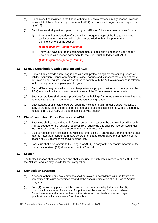- (e) No club shall be included in the fixture of home and away matches in any season unless it has a valid affiliation/licence agreement with AFLQ or its Affiliate League in a form approved by AFLQ.
- (f) Each League shall provide copies of the signed affiliation / licence agreements as follows:
	- (i) Upon the first registration of a club with a League, a copy of the League's signed affiliation agreement with AFLQ shall be provided to that club prior to the commencement of the season.

*(Late lodgement – penalty 20 units)*

(ii) Thirty (30) days prior to the commencement of each playing season a copy of any new signed club licence agreement for that year must be lodged with AFLQ.

*(Late lodgement – penalty 20 units)*

#### <span id="page-8-0"></span>**2.5 League Constitution, Office Bearers and AGM**

- (a) Constitutions provide each League and club with protection against the consequences of liability. Affiliation/License agreements provide Leagues and clubs with the support of the AFL but, in so doing, require Leagues and clubs to comply with the AFL's expectations in relation to the management and playing of the game.
- (b) Each Affiliate League shall adopt and keep in force a proper constitution to be approved by AFLQ and shall be incorporated under the laws of the Commonwealth of Australia.
- (c) Such constitutions shall contain provisions for the holding of an Annual General Meeting on a date no later than 31 December prior to the forthcoming season.
- (d) Each League shall provide to AFLQ, upon the holding of each Annual General Meeting, a copy of the new office bearers of the League and of all the clubs affiliated with its League by no later than 15 January of the forthcoming playing season.

#### <span id="page-8-1"></span>**2.6 Club Constitution, Office Bearers and AGM**

- (a) Each club shall adopt and keep in force a proper constitution to be approved by AFLQ or its Affiliate League for the regulation and control of such club and shall be incorporated under the provisions of the laws of the Commonwealth of Australia.
- (b) Club constitutions shall contain provisions for the holding of an Annual General Meeting on a date not later than fourteen (14) days before their League's Annual General Meeting of the season or 31 December whichever comes first.
- (c) Each club shall also forward to the League or AFLQ, a copy of the new office bearers of the club within fourteen (14) days after the AGM is held.

#### <span id="page-8-2"></span>**2.7 Season**

The football season shall commence and shall conclude on such dates in each year as AFLQ and the Affiliate Leagues may decide for that competition.

#### <span id="page-8-3"></span>**2.8 Competition Structure**

- (a) A season of home and away matches shall be played in accordance with the fixture and competition structure determined by and at the absolute discretion of AFLQ or its Affiliate Leagues.
- (b) Four (4) premiership points shall be awarded for a win or win by forfeit, and two (2) points shall be awarded for a draw. No points shall be awarded for a loss. Where Clubs have an equal number of byes in the fixture, no premiership points or player qualification shall apply when a Club has a bye.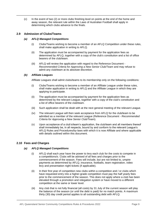(c) In the event of two (2) or more clubs finishing level on points at the end of the home and away season, the relevant rule within the Laws of Australian Football shall apply in determining which clubs advance to the finals.

#### <span id="page-9-0"></span>**2.9 Admission of Clubs/Teams**

#### *(a) AFLQ Managed Competitions*

- (i) Clubs/Teams wishing to become a member of an AFLQ Competition under these rules, shall make application in writing to AFLQ.
- (ii) The application must be accompanied by payment for the application fees as determined by AFLQ, together with a copy of the club's constitution and a list of office bearers of the club/team.
- (iii) AFLQ will review the application with regard to the Reference Document *Recommended Criteria for Approving a New Senior Club/Team* and may refuse to admit any club/team at its absolute discretion.

#### *(b) Affiliate Leagues*

Affiliate Leagues shall admit clubs/teams to its membership only on the following conditions:

- (i) Clubs/Teams wishing to become a member of an Affiliate League under these rules, shall make application in writing to AFLQ and the Affiliate League in which they are applying to participate.
- (ii) The application must be accompanied by payment for the application fees as determined by the relevant League, together with a copy of the club's constitution and a list of office bearers of the club/team.
- (iii) Such application shall be dealt with at the next general meeting of the relevant League.
- (iv) The relevant League will then seek acceptance from AFLQ for the club/team to be admitted as a member of the relevant League (Reference Document - *Recommended Criteria for Approving a New Senior Club/Team*).
- (v) Upon acceptance of a club's/team's application, the club/team and all members thereof shall immediately be, in all respects, bound by and conform to the relevant League's AFLQ Rules and Procedures/by-laws with which it is now Affiliate and where applicable with details outlined within this document.

#### <span id="page-9-1"></span>**2.10 Fees and Charges**

#### *(a) AFLQ Managed Competitions*

- (i) AFLQ shall each year have the power to levy each club for the costs to compete in a competitions/s. Clubs will be advised of all fees and charges prior to the commencement of the season. Fees will include, but are not limited to, umpire payments as determined by AFLQ, insurance, footballs, team registration, video levy and presentation night tickets (if applicable).
- (ii) In their first year of competition new clubs within a competition and / or clubs which have requested entry into a higher-grade competition must pay the half yearly fees prior to the commencement of the season. This does not apply where a club has been elevated through a promotion and relegation system or have moved to a different competition at the same or lower level.
- (iii) Any club that is not fully financial (all costs) by 31 July of the current season will play the balance of the season (or until the debt is paid) for no match points. A maximum thirty (30) day credit period applies to all outstanding debt with AFLQ.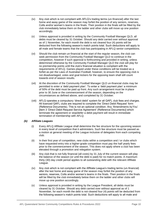- (iv) Any club which is not compliant with AFLQ's trading terms (un-financial) after the last home and away game of the season may forfeit the position of any seniors, reserves, Colts and/or women's teams in the finals. Their position in the finals will be filled by the club immediately below them on the ladder and other clubs will move up one position accordingly.
- (v) Unless approval is provided in writing by the Community Football Manager QLD, all debts must be cleared by 31 October. Should any debt carried over without approval as of 1 November, for each month the debt is not cleared four (4) points will be deducted from the following season's match points total. Such deductions will apply to all male and female teams that the club has participating in AFLQ senior competitions.
- (vi) Should the club remain un-financial at the start of the regular season, the club can seek permission from the Community Football Manager QLD to continue in the competition, however if such approval is forthcoming and provided in writing, unless determined otherwise by the Community Football Manager QLD the club will play for no premiership points until the club's financial situation is compliant with the requirements of AFLQ. Games played under these conditions will be treated as a forfeit as per the Laws of Australian Football, however, to ensure the opposing club is not disadvantaged, votes and goal kickers for the opposing team shall still count towards end of season results.
- (vii) At the discretion of the Community Football Manager QLD un-financial clubs may be permitted to enter a 'debt payment plan'. To enter a 'debt payment plan' a minimum of 50% of the debt must be paid up front. Any such arrangement must be in place prior to 30 June or the commencement of the season, depending on the circumstances as defined above, and completed by 31 October.
- (viii) AFLQ operates a compulsory 'direct debit' system for all QAFL club fees and charges. All licenced QAFL clubs are required to complete the 'Direct Debit Request' form (Reference Documents). This is not an optional condition. Any 'Amendments byYou' [item 3 'Direct Debit Request Service Agreement' (Reference Documents)] which terminate the agreement or stop/defer a debit payment will result in immediate termination of membership with AFLQ.

#### *(b) Affiliate Leagues*

- (i) Every AFLQ Affiliate League shall determine the fee structure for the upcoming season in every level of competition that it administers. Such fee structure must be passed as a motion at general meeting of the League inclusive of delegates from each competing club.
- $(i)$  In their first year of competition, new clubs within a competition and  $/$  or clubs which have requested entry into a higher-grade competition must pay the half yearly fees prior to the commencement of the season. This does not apply where a club has been elevated through a promotion and relegation system.
- (iii) Any club that is not fully financial (all costs) by 31 July of the current season will play the balance of the season (or until the debt is paid) for no match points. A maximum thirty (30) day credit period applies to all outstanding debt with the relevant Affiliate League.
- (iv) Any club which is not compliant with the Affiliate League's trading terms (un-financial) after the last home and away game of the season may forfeit the position of any seniors, reserves, Colts and/or women's teams in the finals. Their position in the finals will be filled by the club immediately below them on the ladder and other clubs will move up one position accordingly.
- (v) Unless approval is provided in writing by the League President, all debts must be cleared by 31 October. Should any debt carried over without approval as of 1 November, for each month the debt is not cleared four (4) points will be deducted from the following season's match points total. Such deductions will apply to all male and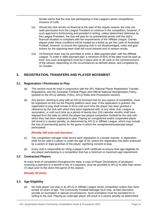female teams that the club has participating in that League's senior competitions, inclusive of Colts.

- (vi) Should the club remain un-financial at the start of the regular season, the club can seek permission from the League President to continue in the competition, however, if such approval is forthcoming and provided in writing, unless determined otherwise by the League President, the club will play for no premiership points until the club's financial situation is compliant with the requirements of the Affiliate League. Games played under these conditions will be treated as a forfeit as per the Laws of Australian Football, however, to ensure the opposing club is not disadvantaged, votes and goal kickers for the opposing team shall still count towards end of season results.
- (vii) Un-financial clubs may be permitted to enter a 'debt payment plan' with the Affiliate League. To enter a 'debt payment plan' a minimum of 50% of the debt must be paid up front. Any such arrangement must be in place prior to 30 June or the commencement of the season, depending on the circumstances as defined above, and completed by 31 October.

#### <span id="page-11-0"></span>**3. REGISTRATION, TRANSFERS AND PLAYER MOVEMENT**

#### <span id="page-11-1"></span>**3.1 Registration / Permission to Play**

- (a) This section must be read in conjunction with the AFL National Player Registration Transfer Regulations, and the Australian Football Player and Official National Deregistration Policy, (posted on the AFLQ website, Policy, AFLQ Rules and Procedures section).
- (b) Any person, desiring to play with an AFLQ licensed club for any season of competition, must be registered on-line via the PlayHQ platform each year. If the application is granted, the registration to play shall remain in force until such time the player has been granted a clearance by the club with which they were registered with, to any other club, League or association, or until such time as a period of twenty-four (24) calendar months shall have elapsed from the date on which the player last played competition football for the club with which they had been registered to play. Playing an unregistered and/or suspended player will result in a severe penalty, as determined by AFLQ or Affiliate League, which may include the loss of premiership points for the game in which the unregistered/suspended player participated.

#### *(Penalty 100 units and Sanction)*

- (c) The competition manager shall record each registration in a proper manner. A registration shall not be valid if a player is under the age of 18, unless the registration has been endorsed by a parent or legal guardian of the player, signifying consent to play.
- (d) Every club is responsible for citing a player's birth certificate to ensure their age eligibility for any player participating in a competition that has a minimum or maximum age requirement.

#### <span id="page-11-2"></span>**3.2 Contracted Players**

At every level of competition throughout the state, a copy of Player Declarations of all players receiving a payment or a benefit in lieu of a payment, must be provided to AFLQ no later than seven (7) days prior to the club's first game of the season.

#### *(Penalty 30 Units)*

#### <span id="page-11-3"></span>**3.3 Age Eligibility**

(a) No male player can play in an AFLQ or Affiliate League senior competition unless they have turned 15 years of age. The Community Football Manager QLD may, at their discretion, provide an exemption in special circumstances. Such exemption must be provided for in writing to the club. Playing an underage player will result in a severe penalty as determined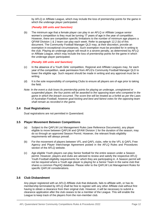by AFLQ or Affiliate League, which may include the loss of premiership points for the game in which the underage player participated.

#### (*Penalty 100 units and Sanction)*

(b) The minimum age that a female player can play in an AFLQ or Affiliate League senior women's competition is they must be turning 17 years of age in the year of competition. However, there are competition specific limitations to the number of minimum age players a QFAW Division 1 & 2 team can play each week. Refer to paragraph [12.2 \(b\) o](#page-62-1)f this document. The Community Football Manager QLD may, at their discretion, provide an exemption in exceptional circumstances. Such exemption must be provided for in writing to the club. Playing an underage player will result in a severe penalty, as determined by AFLQ or Affiliate League, which may include the loss of premiership points for the game in which the underage player participated.

#### *(Penalty 100 units and Sanction)*

- (c) In the absence of a Youth Girls' competition, Regional and Affiliate Leagues may, for each year of the competition, seek permission from AFLQ's Community Football Manager QLD to lower the eligible age. Such request should be made in writing and any approval must be in writing.
- (d) It is the sole responsibility of competing Clubs to ensure all players are of-age prior to taking the field.
- *Note: In the event a club loses its premiership points for playing an underage, unregistered or suspended player, the four points will be awarded to the opposing team who competed in the game in which the breach occurred. The score line will be treated as a forfeit as per the Laws of Australian Football, however goal kicking and best and fairest votes for the opposing team shall remain as recorded in the game.*

#### <span id="page-12-0"></span>**3.4 Dual Registrations**

Dual registrations are not permitted in Queensland.

#### <span id="page-12-1"></span>**3.5 Player Movement Between Competitions**

- (a) Subject to the QAFLW List Management Rules (see Reference Documents), any player eligible to move between QAFLW and QFAW Division 1 for the duration of the season, may do so through an approved Season Permit. However, the relevant finals eligibility requirements will always prevail.
- (b) For the movement of players between VFL and QAFL clubs, refer to the VFL & QAFL Free Agency and Player Interchange Agreement posted in the AFLQ Rules and Procedures section of the AFLQ website.
- (c) Age eligible Youth players can play Senior football for the entire season under a Season permit. However, players and clubs are advised to review and satisfy the respective AFLQ Youth Football eligibility requirements for which they are participating in. A Season permit will not be required where a Youth age player is playing for a Senior Team in the same club that shares a common PlayHQ database. Please refer to the QAFLW List Management Rules for specific QAFLW considerations.

#### <span id="page-12-2"></span>**3.6 Club Disbandment**

Any player registered with an AFLQ Affiliate club that disbands, fails to affiliate with, or has its membership terminated by AFLQ shall be free to register with any other Affiliate club without first having to obtain a clearance from their original club. However, it will be necessary to submit a clearance application after the club ceases to be a member of the League. This will enable the League to keep track of the players from the non-member club.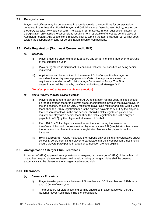#### <span id="page-13-0"></span>**3.7 Deregistration**

Players and officials may be deregistered in accordance with the conditions for deregistration contained in the Australian Football Player and Official National Deregistration Policy, located on the AFLQ website (www.aflq.com.au). The sixteen (16) matches, in total, suspension criteria for deregistration only applies to suspensions resulting from reportable offences as per the Laws of Australian Football. Any suspensions received prior to turning the age of sixteen (16) will not count toward the suspension criteria for deregistration in senior competitions.

#### <span id="page-13-1"></span>**3.8 Colts Registration (Southeast Queensland U18½)**

#### *(a) Eligibility*

- (i) Players must be under eighteen (18) years and six (6) months of age prior to 30 June of the competition year.
- (ii) Players registered in Southeast Queensland Colts will be classified as being senior registered.
- (iii) Applications can be submitted to the relevant Colts Competition Manager for consideration to play over age players in Colts if the applications meet the requirements under the AFL National Age Dispensation Policy. The Final determination will be made by the Community Football Manager QLD.

#### *(Penalty up to 100 units per match and Sanction)*

#### *(b) Youth Players Playing Senior Football*

- (i) Players are required to pay only one AFLQ registration fee per year. This fee should be the registration fee for the lowest grade of competition in which the player plays. In the one season, should an U16.5 registered player also register and play with a Colts team, then the U16.5 registration fee is the only fee payable to AFLQ by the player in that season of football. In the one season, should a Colts registered player also register and play with a senior team, then the Colts registration fee is the only fee payable to AFLQ by the player in that season of football.
- (ii) If an U16.5 or Colts player is cleared to another club during the season the transferee club should not require the player to pay any AFLQ registration fee unless the transferor club has not required a registration fee from the player in the first instance.
- (iii) *Birth Certificates*  Clubs must take the responsibility of citing birth certificates and/or school ID before permitting a player to participate in a Colts competition Clubs should ensure players participating in a Senior competition are age eligible.

#### <span id="page-13-2"></span>**3.9 Amalgamation / Merger Club Clearances**

In respect of AFLQ approved amalgamations or mergers, or the merger of AFLQ clubs with a club of another League, players registered with amalgamating or merging clubs shall be deemed automatically to be players of the amalgamated/merged club.

#### <span id="page-13-3"></span>**3.10 Clearances**

#### *(a) Clearance Procedure*

- (i) Player transfer periods are between 1 November and 30 November and 1 February and 30 June of each year.
- (ii) The procedure for clearances and permits should be in accordance with the AFL National Player Registration Transfer Regulations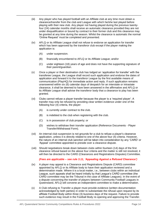- (iii) Any player who has played football with an Affiliate club at any time must obtain a clearance/transfer from the club and League with which he/she last played before playing with their new club. Any player not having played during the previous twentyfour (24) calendar months shall receive an automatic clearance provided they are not under disqualification or bound by contract to their former club and this clearance may be granted at any time during the season. Whilst the clearance is automatic the normal 'Online Request' must be completed and presented.
- (iv) AFLQ or its Affiliate League shall not refuse to endorse an application for transfer which has been approved by the transferor club except if the player making the application is:
	- (A) under suspension.
	- (B) financially encumbered to AFLQ or its Affiliate League; and/or
	- (C) under eighteen (18) years of age and does not have the supporting signature of their parent/guardian.
- (v) Once a player or their destination club has lodged an 'application for transfer' with the transferee League, the League shall record such application and endorse the dates of application and forward it to the transferor League by the first available means of communication (PlayHQ) for immediate action and reply. If such application remains unanswered within six (6) calendar days of despatch for an interstate or intrastate clearance, it shall be deemed to have been answered in the affirmative and AFLQ or its Affiliate League shall advise the transferor body that a clearance to play has been granted.
- (vi) Clubs cannot refuse a player transfer because the player is a 'required player'. A transfer may only be refused by providing clear written evidence under one of the following four (4) criteria, the player:
	- (A) is currently under contract to the club.
	- (B) is indebted to the club when registering with the club.
	- (C) is in possession of club property; or
	- (D) wishes to withdraw their transfer application (Reference Documents Player Transfer/Withdrawal Form).
- (vii) An internal club suspension is not grounds for a club to refuse a player's clearance application, unless it is directly related to one of the above four (4) criteria. However, the nature of an internal club sanction will be taken into consideration by any 'CARD' or 'Appeal' committee appointed to preside over a clearance dispute.
- (viii) Should negotiations break down between clubs within fourteen (14) days of the first clearance refusal based on the above four criteria and the matter is still not resolved, it will then be directed to the CARD (Clearances and Registrations Disputes) Committee.

#### *(Fees are applicable – see rule [3.11,](#page-15-0) 'Appealing Against a Refused Clearance')*

- (ix) A player may appeal to a Clearance and Registrations Dispute (CARD) committee appointed by AFLQ or its Affiliate body to have their application reviewed and a determination made. Where it is a local matter, i.e., between clubs within an individual League, such appeals shall be heard initially by that League's CARD committee (the CARD committee may be the Tribunal in the case of Affiliate Leagues). In the event of a dispute concerning the transfer of players between Community Football Leagues in Queensland, AFLQ will convene an independent committee to make a determination.
- (x) A Club refusing to Transfer a player must provide evidence (written documentation acknowledged by both parties) in order to substantiate the refusal upon request by its affiliate Football Body within three (3) business days of the request. Failure to provide such evidence may result in the Football Body re-opening and approving the Transfer.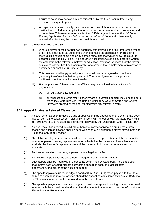Failure to do so may be taken into consideration by the CARD committee in any relevant subsequent appeal.

(xi) A player who wishes to apply for a transfer from one club to another shall have the destination club lodge an application for such transfer no earlier than 1 November and no later than 30 November or no earlier than 1 February and no later than 30 June. For any "application for transfer" lodged on or before 30 June and subsequently refused after 30 June, the player has the right of appeal.

#### *(b) Clearances Post June 30*

- (i) Where a player or their partner has genuinely transferred in their full-time employment or full-time study after 30 June, the player can make an "application for transfer" if there is still enough home and away games remaining that would allow the player to become eligible to play finals. The clearance application would be subject to a written statement from the relevant employer or education institution, verifying that the player or player's partner has been legitimately transferred in their employment or relocated to commence or continue full time study.
- (ii) This provision shall apply equally to students whose parent/guardian has been genuinely transferred in their employment. The parent/guardian must provide confirmation of their employment transfer.
- (iii) For the purpose of these rules, the Affiliate League shall maintain the Play HQ database for:
	- (A) all registrations issued; and
	- (B) all "applications for transfer" either inward or outward handled, including the date which they were received, the date on which they were answered and whether they were granted or refused, together with any relevant details.

#### <span id="page-15-0"></span>**3.11 Appeal Against a Refused Clearance**

- (a) A player who has been refused a transfer application may appeal, to the relevant State body independent panel against such refusal, by notice in writing lodged with the State body within ten (10) days of such refused transfer being received by the 'Destination Club' Affiliate body.
- (b) A player may, if so desired, submit more than one transfer application during the current season and each application shall be dealt with separately although a player may submit one (1) appeal only in any season.
- (c) The clubs and players concerned shall each be entitled to representation at the hearing, the number of persons having representation to be limited to the player and their advocate who shall also be the club's representative and the defendant club's representative and its advocate.
- (d) Such representation may be by a person who is legally qualified.
- (e) No notice of appeal shall be acted upon if lodged after 31 July in any year.
- (f) Such appeal shall be heard within a period as determined by State body. The State body shall inform each affected Affiliate body of the appeal as soon as practical after lodgement by the player of the notice of appeal.
- (g) The appellant player/club must lodge a bond of \$550 (inc. GST) made payable to the State body and such bond may be forfeited should the appeal be considered frivolous. A \$275 (inc. GST) administrative fee will be retained from the appeal bond.
- (h) The appellant player/club must also lodge an intention to appeal in writing on club letterhead, together with the appeal bond and any other documentation required under the AFL National Player Transfer Regulations.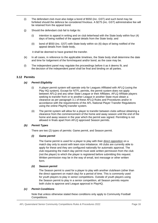- (i) The defendant club must also lodge a bond of \$550 (inc. GST) and such bond may be forfeited should the defence be considered frivolous. A \$275 (inc. GST) administrative fee will be retained from the appeal bond.
- (j) Should the defendant club fail to lodge its:
	- (i) intention to appeal in writing and on club letterhead with the State body within four (4) days of being notified of the appeal details from the State body; and
	- (ii) bond of \$550 (inc. GST) with State body within six (6) days of being notified of the appeal details from State body,

it shall be deemed to have granted the transfer.

- (k) In all cases, in reference to the applicable timelines, the State body shall determine the date and time for lodgement of the form/request and/or bond, as the case may be.
- (l) The independent panel may regulate the proceedings before it as it deems fit, and the decision of the independent panel shall be final and binding on all parties.

#### <span id="page-16-0"></span>**3.12 Permits**

#### *(a) Permit Eligibility*

- (i) A player permit system will operate only for Leagues Affiliated with AFLQ (using the Play HQ system). Except for NTFL permits, the permit system does not apply between AFLQ and any other State League or their Affiliates. AFLQ Affiliate players seeking to transfer from or to another League in another State must obtain a clearance as per paragraph 3.1 of these AFLQ Rules and Procedures and/or in accordance with the requirements of the AFL National Player Transfer Regulations using the online PlayHQ transfer system.
- (ii) The permit system will allow for a player to transfer between clubs without obtaining a clearance from the commencement of the home and away season until the end of the home and away season in the year which the permit was signed. Permitting is not allowed in finals apart from AFLQ approved Season permits.

#### *(b) Permit Types*

There are two (2) types of permits: Game permit, and Season permit.

#### *(i) Game permit*

The Game permit is used for a player to play with their direct opposition on a match day only to assist with team size imbalance. All clubs are currently able to apply for these and they are configured nationally for automatic approval. The club requesting the match day permit must seek written permission from the club (not the player) to which the player is registered before submitting this request. Written permission may be in the way of email, text message or other written form.

#### *(ii) Season permit*

The Season permit is used for a player to play with another club/team (other than the direct opponent on match day) for a period of time. This is commonly used for youth players to play in senior competitions. Outside of youth players using the Season permit to play in a senior competition, all Season permits require both clubs to approve and League approval in PlayHQ.

#### *(c) Permit Conditions*

Note that unless otherwise stated these conditions only apply to Community Football Competitions.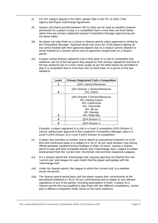- (i) For VFL players playing in the QAFL please refer to the VFL & QAFL Free Agency and Player Interchange Agreement.
- (ii) Season and Game permits between AFLQ clubs can be used as needed, however permission for a player to play in a competition that is more than one level below where they are primary registered requires Competition Manager approval (as per the below table).
- (iii) No player can play finals on a Game or Season permit unless approved in writing by the Competition Manager. Approval would only occur for Youth players playing up into senior football with their approved aligned club on a Season permit; Masters to senior football on a Season permit and an approved merged team on a Season permit.
- (iv) A player whose primary registered club is that week on a club or competition bye weekend, will not (if the last game they played for their primary registered club prior to the bye weekend was in a more senior grade as per the table below) be permitted to play in a competition that is more than one (1) level lower on a permit on the bye weekend.

| Level:<br><b>Primary Registered Club's Competition</b> |                                                                                                                                                                          |  |
|--------------------------------------------------------|--------------------------------------------------------------------------------------------------------------------------------------------------------------------------|--|
|                                                        | <b>QAFL Seniors/Reserves</b>                                                                                                                                             |  |
| 2                                                      | <b>QFA Division 1 Seniors/Reserves</b><br><b>AFL Cairns</b>                                                                                                              |  |
| 3                                                      | <b>QFA Division 2 Seniors/Reserves</b><br><b>AFL Darling Downs</b><br><b>AFL Capricornia</b><br><b>AFL Townsville</b><br>AFL Mt Isa<br>AFL Mackay<br><b>AFL Wide Bay</b> |  |
| 4                                                      | <b>QFA Division 3</b>                                                                                                                                                    |  |
| 5                                                      | <b>QFA Division 4</b>                                                                                                                                                    |  |

*Example: A player registered to a club in a Level 2 competition (QFA Division 1) cannot, without prior approval of their respective Competition Manager, play in a Level 4 (QFA Division 3) or Level 5 (QFA Division 4) competition.* 

- (v) A player who transfers to another club to attend an educational institution on a fulltime and continuous basis or is subject to a 'fly-in, fly-out' work situation may, during official semester vacations/school holidays or when 'at home', receive a Season permit to play with their immediate former club ('interchange club'), subject to written endorsement from the 'current club', the former club and their respective Leagues.
- (vi) For a Season permit the 'interchange club' requires approval via PlayHQ from the 'current club' and League for each match that the player participates with the 'interchange club'.
- (vii) Under the Season permit, the League to which the 'current club' is a member, issues the permit.
- (viii) The Season permit period lasts until the player ceases their commitments at the educational institution or 'fly-in, fly-out' commitments and is subject to any relevant regulations of any of the parties, including participation in finals. A player on a Season permit who has qualified to play finals with two different competitions, cannot play in different competition finals series on the same weekend.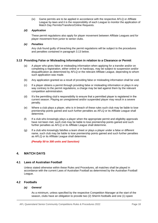(ix) Game permits are to be applied in accordance with the respective AFLQ or Affiliate League by-laws and it is the responsibility of each League to monitor the application of Match Day Permits/Transfers/Online Requests.

#### *(d) Application*

These permit regulations also apply for player movement between Affiliate Leagues and for player movement from junior to senior clubs.

#### *(e) Penalties*

Any club found guilty of breaching the permit regulations will be subject to the procedures and penalties contained in paragraph 3.13 below.

#### <span id="page-18-0"></span>**3.13 Providing False or Misleading Information in relation to a Clearance or Permit**

- (a) A player who gives false or misleading information when applying for a transfer and/or on completing a registration, either online or in hardcopy, may be subject to suspension and/or disqualification as determined by AFLQ or the relevant Affiliate League, depending to whom such application was made.
- (b) Any application granted as a result of providing false or misleading information shall be void.
- (c) If a player obtains a permit through providing false or misleading information or plays in any way contrary to the permit regulations, a charge may be laid against them by the relevant competition administration.
- (d) It's the permitting club's responsibility to ensure that a permitted player is registered in the current season. Playing an unregistered and/or suspended player may result in a severe penalty.
- (e) Where a club plays a player, who is in breach of these rules such club may be liable to lose premiership points gained and such further penalties as AFLQ or its Affiliate League shall determine.
- (f) If a club who knowingly plays a player when the appropriate permit and eligibility approvals have not been met, such club may be liable to lose premiership points gained and such further penalties as AFLQ or its Affiliate League shall determine.
- (g) If a club who knowingly falsifies a team sheet or plays a player under a false or different name, such club may be liable to lose premiership points gained and such further penalties as AFLQ or its Affiliate League shall determine.

*(Penalty 50 to 300 units and Sanction)*

#### <span id="page-18-1"></span>**4. MATCH DAYS**

#### <span id="page-18-2"></span>**4.1 Laws of Australian Football**

Unless stated otherwise within these Rules and Procedures, all matches shall be played in accordance with the current Laws of Australian Football as determined by the Australian Football League.

#### <span id="page-18-3"></span>**4.2 Footballs**

#### *(a) General*

As a minimum, unless specified by the respective Competition Manager at the start of the season, clubs have an obligation to provide two (2) Sherrin footballs and one (1) spare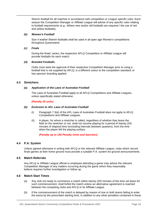Sherrin football for all matches in accordance with competition or League specific rules. Each season the Competition Manager or Affiliate League will advise of any specific rules relating to football requirements (e.g., Where new and/or old footballs are required / the use of red and yellow footballs).

#### *(b) Women's Football*

Size 4 leather Sherrin footballs shall be used in all open age Women's competitions throughout Queensland.

#### *(c) Finals*

During the finals' series, the respective AFLQ Competition or Affiliate League will provide footballs for each match.

#### *(d) Branded Footballs*

Clubs must seek the approval of their respective Competition Manager prior to using a football that is not supplied by AFLQ; is a different colour to the competition standard; or has sponsor branding applied.

#### <span id="page-19-0"></span>**4.3 Stretchers**

#### *(a) Application of the Laws of Australian Football*

The Laws of Australian Football apply to all AFLQ Competitions and Affiliate Leagues, unless specifically stated otherwise.

#### *(Penalty 20 units)*

#### *(b) Exclusion to AFL Laws of Australian Football*

- (i) Paragraph 7.3(e) of the AFL Laws of Australian Football does not apply to AFLQ Competitions and Affiliate Leagues.
- (ii) A player, for whom a stretcher is called, regardless of whether they leave the field on the stretcher or not, shall not resume playing for a period of twenty (20) minutes of elapsed time (excluding intervals between quarters), from the time when the player left the playing surface.

#### *(Penalty up to 100 Penalty Units and Sanction)*

#### <span id="page-19-1"></span>**4.4 P.A. System**

Unless agreed otherwise in writing with AFLQ or the relevant Affiliate League, clubs which secure finals games at their home ground must provide a suitable P.A. system for ground announcements.

#### <span id="page-19-2"></span>**4.5 Match Referrals**

Any AFLQ or Affiliate League official or employee attending a game may advise the relevant Competition Manager of any matters occurring during the game which they reasonably believe requires further investigation or follow up.

#### <span id="page-19-3"></span>**4.6 Match Start Times**

- (a) Any club not ready to commence a match within twenty (20) minutes of the time set down for such commencement, shall forfeit the match unless an alternative agreement is reached between the competing clubs and AFLQ or its Affiliate League.
- (b) If the commencement of the match is delayed by reason of one or both teams failing to enter the arena by the prescribed starting time, in addition to any other penalties contained in these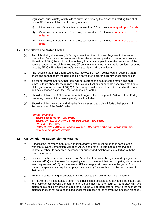regulations, such club(s) which fails to enter the arena by the prescribed starting time shall pay to AFLQ or its affiliate the following amount:

- (i) If the delay exceeds 5 minutes but is less than 10 minutes **penalty of up to 5 units**.
- **(ii)** If the delay is more than 10 minutes, but less than 15 minutes **penalty of up to 10 units; or**
- **(iii)** If the delay is more than 15 minutes, but less than 20 minutes **penalty of up to 30 units.**

#### <span id="page-20-0"></span>**4.7 Late Starts and Match Forfeit**

- (a) Any club, during the season, forfeiting a combined total of three (3) games in the same competition (seniors and reserves constitutes the same competition), may at the absolute discretion of AFLQ be excluded immediately from that competition for the remainder of the current season. If any club forfeits two (2) competition games in any grade, seniors, reserves or colts, AFLQ will review the club's licence to play in all competitions.
- (b) The forfeiting team, for a forfeited game, receives no match points, cannot submit a team sheet and cannot count the game as time served for a player currently under suspension.
- (c) If a team receives a forfeit, that team will be awarded the points for the match and shall submit a team sheet for the purpose of finals qualifications prior to the scheduled start time of the game or as per rule  $4.10(a)(ii)$ . Percentages will be calculated at the end of the home and away season as per the Laws of Australian Football.
- (d) Should a club advise AFLQ, or an Affiliate League, of a forfeit prior to 9:00am of the Friday preceding the match the point's penalty shall be halved.
- (e) Should a club forfeit a game during the finals' series, that club will forfeit their position in the remainder of the finals' series.

#### *Forfeit Penalties:*

- *Men's Senior Match - 200 units.*
- *Men's, QAFLW & QFAW D1 Reserve Grade - 100 units.*
- *QAFLW - 200 units.*
- *Colts, QFAW & Affiliate League Women - 100 units or the cost of the umpires, whichever is greatest value.*

#### <span id="page-20-1"></span>**4.8 Cancellation or Suspension of Matches**

- (a) Cancellation, postponement or suspension of any match must be done in consultation with the relevant Competition Manager. AFLQ and or the Affiliate League reserve the right to re-schedule cancelled, postponed or suspended matches in consultation with the competing clubs.
- (b) Games must be rescheduled within two (2) weeks of the cancelled game and by agreement between AFLQ and the two (2) competing clubs. In the event that the competing clubs cannot reach agreement, AFLQ or the relevant Affiliate League will re-schedule the game. For clarity, the game is not required to played within two (2) weeks but must be rescheduled in that period.
- (c) For the rules governing incomplete matches refer to the Laws of Australian Football.
- (d) If AFLQ or the Affiliate League determines that it is not possible to re-schedule the match, due to circumstances beyond the control of all parties involved, the result will be a draw with two match points being awarded to each team. Clubs will be permitted to enter a team sheet for matches that cannot be re-scheduled under the direction of the relevant Competition Manager.

AFL Queensland Senior Community Competitions Rules & Procedures 2022 **Page 20** Page 20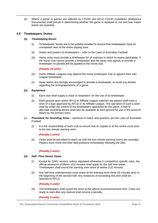(e) Where a game or games are affected by COVID, the *AFLQ COVID Guidelines* (Reference Documents) shall prevail in determining whether the game is replayed or not and how match points are awarded.

#### <span id="page-21-0"></span>**4.9 Timekeepers' Duties**

#### *(a) Timekeeping Boxes*

- (i) Timekeepers' boxes are to be suitably situated to ensure that timekeepers have an unimpeded view of the entire playing area.
- (ii) Duties and powers of timekeepers refer to the Laws of Australian Football.
- (iii) Home clubs must provide a timekeeper for all matches in which its teams participate. If the home club cannot provide a timekeeper and the away club agrees to provide a timekeeper no penalty will be applied to the home club.

#### *(Penalty 20 units)*

- (iv) Some Affiliate Leagues may appoint the home timekeeper only or appoint their own League timekeeper.
- (v) Away teams are strongly encouraged to provide a timekeeper, to avoid any doubts regarding the timing/operations of a game.

#### *(b) Equipment*

- (i) Each club shall supply a clock or stopwatch, for the use of its timekeeper.
- (ii) Each ground upon which AFLQ or Affiliate League matches are played shall have a siren of a type approved by AFLQ or its Affiliate League. The operation of such a siren shall be under the control of the timekeepers appointed for the game. A bell or alternate sounding device shall also be available at each ground for use in the event of failure by the primary siren.
- (c) *Procedure for Sounding Siren*  start/end of match and quarters, per the Laws of Australian Football
	- (i) It is the responsibility of each club to ensure that its captain is at the centre circle prior to the two-minute warning siren.

#### *(Penalty 5 units)*

(ii) Clubs shall be permitted to warm up until the two-minute warning sirens are sounded. Players must move into their field positions immediately following the toss.

#### *(Penalty 5 units)*

#### *(d) Half -Time Senior Game*

- (i) Except for QAFL seniors, unless stipulated otherwise in competition specific rules, the official allowance of fifteen (15) minutes shall apply for the half time break. Timekeepers shall sound the warning siren twice at twelve (12) minutes.
- (ii) Any half-time entertainment must cease at the warning siren three (3) minutes prior to the beginning of the second half. Any instances of exceeding this time shall be reported to AFLQ.

#### *(Penalty 5 units)*

(iii) The timekeepers shall sound the siren at the official recommencement time. Clubs not ready to start after any interval shall receive a penalty.

*(Penalty 5 units)*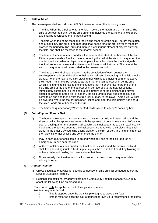#### *(e) Noting Times*

The timekeepers shall record on an AFLQ timekeeper's card the following times:

- (i) The time when the umpires enter the field before the match and at half time. The time to be recorded shall be the time an umpire holds up the ball to the timekeepers and shall be recorded to the nearest second.
- (ii) The time when the home team and the visiting team enter the field before the match and at half time. The time to be recorded shall be the time the first player of the team crosses the boundary line, provided there is a continuous stream of players entering the field, and shall be recorded to the nearest second.
- (iii) The time at the start of each quarter the quarter shall start at the bounce of the ball. If the umpire awards a free kick before bouncing the ball at the start of the quarter, the quarter shall start when a player kicks or plays the ball or when the umpire signals to the timekeepers to cease adding time-on whichever shall first occur. The time at the start of the quarter shall be recorded to the nearest second.
- (iv) The time at the end of each quarter at the completion of each quarter the timekeepers shall sound the siren or bell and shall keep it sounding until a field umpire signals, he or she has heard it by blowing their whistle and holding both arms above their head. The time to be recorded as the finish of each quarter shall be the time which a field umpire signals to the timekeepers that he or she has heard the siren or bell. The time at the end of the quarter shall be recorded to the nearest second. If immediately before hearing the siren, a field umpire is of the opinion that a player should be awarded a free kick or a mark, the field umpire shall signal that play has come to an end and then award the free kick or mark to the player. A free kick will not be awarded where the football has been kicked and, after the field umpire has heard the siren, lands out of bounds on the full.
- (v) The time and quarter of any White or Red cards issued to a team's coaching box.

#### *(f) Sounding the Siren or Bell*

- (i) The home timekeeper shall have control of the siren or bell, and they shall sound the siren or bell at the appropriate times with the approval of both timekeepers. Before the start of each quarter, the umpire shall consult the timekeepers as to their readiness by holding up the ball. As soon as the timekeepers are ready with their clock, they shall signal to the umpire by sounding a long blast on the siren or bell. The field umpire shall then blow his or her whistle and commence the game.
- (ii) Play in each quarter shall come to an end when any one of the field umpires or emergency umpire hear the siren.
- (iii) At the completion of each quarter the timekeepers shall sound the siren or bell and shall keep sounding it until a field umpire signals, he or she has heard it by blowing his or her whistle and holding both arms above their head.
- (iv) Note carefully that timekeepers shall not sound the siren to end the quarter while adding time-on.

#### *(g) Adding Time-on*

- (i) Unless stipulated otherwise for specific competitions, time on shall be added as per the Laws of Australian Football.
- (ii) Regional competitions, by approval from the Community Football Manager QLD, may adopt the following time on procedures.

Time on will **only** be applied in the following circumstances.

- (A) After a goal is scored
	- (I) Time is stopped once the Goal Umpire begins to wave their flags.
	- (II) Time is restarted once the ball is bounced/thrown up to recommence the game.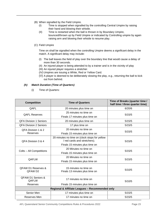- (B) When signalled by the Field Umpire.
	- (I) Time is stopped when signalled by the controlling Central Umpire by raising their hand and blowing their whistle.
	- (II) Time is restarted when the ball is thrown in by Boundary Umpire, bounced/thrown up by Field Umpire or indicated by Controlling umpire by again raising arm and blowing their whistle to resume play.

#### (C) Field Umpire

Time on shall be signalled when the controlling Umpire deems a significant delay in the match. A significant delay may include:

- (I) The ball leaves the field of play over the boundary line that would cause a delay of more than 30 seconds.
- (II) An injured player is being attended to by a trainer and is in the vicinity of play
- (III) An injured player requires a stretcher.
- (IV) Umpires are issuing a White, Red or Yellow Card.
- (V) A player is deemed to be deliberately slowing the play, e.g., returning the ball to kick out from behind.

#### *(h) Match Duration (Time of Quarters)*

(i) Time of Quarters:

| <b>Competition</b>                           | <b>Time of Quarters</b>                                                       | Time of Breaks (quarter time /<br>half time / three quarter time) |
|----------------------------------------------|-------------------------------------------------------------------------------|-------------------------------------------------------------------|
| QAFL                                         | 20 minutes plus time on                                                       | 6/20/6                                                            |
| <b>QAFL Reserves</b>                         | 25 minutes no time on                                                         | 5/15/5                                                            |
|                                              | Finals 17 minutes plus time on                                                |                                                                   |
| <b>QFA Division 1 Seniors</b>                | 20 minutes plus time on                                                       | 5/15/5                                                            |
| <b>QFA Division 2 Seniors</b>                | 17 plus time on                                                               | 5/15/5                                                            |
| QFA Division 1 & 2                           | 20 minutes no time on                                                         | 5/15/5                                                            |
| <b>Reserves</b>                              | Finals 15 minutes plus time on                                                |                                                                   |
| QFA Division 3 & 4                           | 20 minutes no time on (clock stops for yellow<br>/ red cards and stretchers). | 5/15/5                                                            |
|                                              | Finals 15 minutes plus time on                                                |                                                                   |
| Colts - All Competitions                     | 20 Minutes no time on                                                         | 5/15/5                                                            |
|                                              | Finals 15 minutes plus time on                                                |                                                                   |
| QAFLW                                        | 20 Minutes no time on                                                         | 5/15/5                                                            |
|                                              | Finals 15 minutes plus time on                                                |                                                                   |
| <b>QFAW D1 Reserves &amp;</b><br>QFAW D2     | 15 minutes no time on<br>Finals 13 minutes plus time on                       | 5/10/5                                                            |
| <b>QFAW D1 Seniors &amp;</b><br><b>QAFLW</b> | 17 minutes no time on                                                         | 5/10/5                                                            |
| Reserves                                     | Finals 15 minutes plus time on                                                |                                                                   |
|                                              | Regional & Affiliate Leagues - Recommended only                               |                                                                   |
| Senior Men                                   | 17 minutes plus time on                                                       | 5/15/5                                                            |
| Reserves Men                                 | 17 minutes no time on                                                         | 5/15/5                                                            |

AFL Queensland Senior Community Competitions Rules & Procedures 2022 **Page 23** Page 23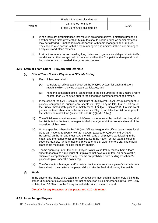|       | Finals 15 minutes plus time on |        |
|-------|--------------------------------|--------|
| Women | 15 minutes no time on          | 5/10/5 |
|       | Finals 13 minutes plus time on |        |

- (i) When there are circumstances that result in prolonged delays in matches preceding another match, time greater than 5 minutes should not be added as senior matches may be following. Timekeepers should consult with team managers and umpires. They should also consult with the team managers and umpires if there are prolonged delays in stand-alone matches.
- (ii) In situations where teams travelling long distances to games are delayed due to traffic conditions or other exceptional circumstances then the Competition Manager should be contacted and, if needed, the game re-scheduled.

#### <span id="page-24-0"></span>**4.10 Official Team Sheet – Players and Officials**

#### *(a) Official Team Sheet – Players and Officials Listing*

- (i) Each club or team shall:
	- (A) complete an official team sheet on the PlayHQ system for each and every match in which the club or team participates; and
	- (B) hand the completed official team sheet to the field umpires in the umpire's room no later than 30 minutes prior to the scheduled commencement of a match.
- <span id="page-24-2"></span>(ii) In the case of the QAFL Seniors (maximum of 26 players) & QAFLW (maximum of 25 players) competitions, submit team sheets via PlayHQ by no later than 10.00 am on the Friday immediately prior to a match round. For QAFL Seniors/QAFLW mid-week games the team sheets must be submitted via PlayHQ no later than 24 hours prior to the scheduled match time (in-line with rule [6.1\(b\)\(i\)](#page-49-3) & [6.1\(b\)\(i\).](#page-49-3)
- (iii) The official team sheet from each club/team, once received by the field umpires, shall be distributed to the team manager/ football manager and timekeepers steward of the opposition club or team.
- (iv) Unless specified otherwise by AFLQ or Affiliate League, the official team sheets for all clubs can have up to twenty-two (22) players, (except for QAFLW and QAFLW Reserves) on the list and must have the full name of all players participating in the match and the names of all other participants in the match for that team, including coaches, trainers, runners, doctors, physiotherapists, water carriers etc. The official team sheet must also indicate the team captain.
- (v) Teams operating under the AFLQ Player Points Value Policy must submit a team sheet that contains a minimum of 22 players that have a sum total on or below the stipulated competition points cap. Teams are prohibited from fielding less than 22 players to play under the points cap.
- (vi) The Competition Manager and/or match Umpires can remove a player's name from a team sheet if they believe the player did not take the field at all during the match.
- *(b) Finals*

In the case of the finals, every team in all competitions must submit team sheets (listing the standard number of players required for that competition plus 4 emergencies) via PlayHQ by no later than 10.00 am on the Friday immediately prior to a match round.

*(Penalty for any breaches of this paragraph 4.10 - 20 units)*

#### <span id="page-24-1"></span>**4.11 Interchange Players**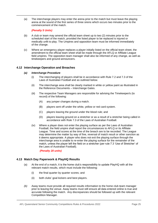(a) The interchange players may enter the arena prior to the match but must leave the playing arena at the sound of the first series of three sirens which occurs two minutes prior to the commencement of the match.

#### *(Penalty 5 Units)*

- (b) A club or team may amend the official team sheet up to two (2) minutes prior to the scheduled start of the match, provided the listed player to be replaced is injured or medically unfit to play. The Umpires and opposition team must be informed immediately of the change.
- (c) Where an emergency player replaces a player initially listed on the official team sheet, the amendment to the official team sheet shall be made through the AFLQ or Affiliate League field umpires. The opposition team manager shall also be informed of any change, as well as timekeepers and ground announcers.

#### <span id="page-25-0"></span>**4.12 Interchange Operation and Breaches**

#### *(a) Interchange Procedure*

- (i) The interchanging of players shall be in accordance with Rule 7.2 and 7.3 of the Laws of Australian Football and as outlined below.
- (ii) The interchange area shall be clearly marked in white or yellow paint as illustrated in the Reference Documents – Interchange Gates.
- (iii) The respective Team Managers are responsible for advising the Timekeeper/s (to record) of the following:
	- (A) any jumper changes during a match.
	- (B) players sent off under the white, yellow or red card system.
	- (C) players leaving the ground under the blood rule; and
	- (D) players leaving ground on a stretcher or as a result of a stretcher being called in accordance with Rule 7.3 of the Laws of Australian Football.
- (iv) Where a player does not enter the playing surface as per the Laws of Australian Football, the field umpire shall report the circumstances to AFLQ or its Affiliate League. Time and scores at the time of the breach are to be recorded. The League may determine the matter by way of fine, reversal of match result or other sanction as it deems appropriate. A player who does not exit the playing surface through the interchange area is unable to re-enter the playing surface for the remainder of the match, unless the player left the field on a stretcher (per rule 7.3 'Use of Stretcher' of the Laws of Australian Football).

*(Penalty 20 units)*

#### <span id="page-25-1"></span>**4.13 Match Day Paperwork & PlayHQ Results**

- (a) At the end of a match, it is the home club's responsibility to update PlayHQ with all the relevant match results, which must include the following:
	- (i) the final quarter by quarter scores; and
	- (ii) both clubs' goal kickers and best players.
- *(b)* Away teams must provide all required results information to the home club team manager prior to leaving the venue. Away teams must still ensure all data entered online is true and accurate following the match. Any discrepancies should be followed up with the relevant Competition Manager.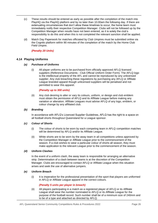- (c) These results should be entered as early as possible after the completion of the match into PlayHQ via the PlayHQ platform and by no later than 10.00am the following day. If there are extenuating circumstances that don't allow these timelines to occur, the home team must immediately notify their respective Competition Manager. Clubs will not be followed up by the Competition Manager when results have not been entered, as it is solely the club's responsibility to do this and when this is not completed the relevant sanction shall be applied.
- (d) Match Day Paperwork for matches officiated by Club Umpires must be submitted online via the Cognito platform within 90 minutes of the completion of the match by the Home Club Field Umpire.

*(Penalty 20 Units)*

#### <span id="page-26-0"></span>**4.14 Playing Uniforms**

#### *(a) Purchase of Uniforms*

(i) All player uniforms are to be purchased from officially approved AFLQ licensed suppliers (Reference Documents - Club Official Uniform Order Form). The AFLQ logo is the intellectual property of the AFL and cannot be reproduced by any unlicensed supplier. Any club breaching these regulations by purchasing any AFLQ or Affiliate League branded apparel though unlicensed suppliers will be penalised and not permitted to wear this apparel.

#### *(Penalty up to 300 units)*

(ii) Any club desiring to alter or vary its colours, uniform, or design and club emblem must obtain the permission of AFLQ and its Affiliate League before making any variation or alteration. Affiliate Leagues must advise AFLQ of any logo, emblem, or colour change by any affiliated club.

#### *(b) Branding*

In accordance with AFLQ's Licenced Supplier Guidelines, AFLQ has the right to a space on all football shorts throughout Queensland for a League sponsor.

#### *(c) Colour of Shorts*

- (i) The colour of shorts to be worn by each competing team in AFLQ competition matches will be determined by AFLQ and/or its Affiliate League.
- (ii) White shorts are to be worn by the away team in all competitions unless approved by the Competition Manager or Affiliate League prior to the commencement of the season. If a club wishes to wear a particular colour of shorts all season, they must make application to the relevant League prior to the commencement of the season.

#### *(d) Uniform Clashes*

In the event of a uniform clash, the away team is responsible for arranging an alternative strip. Determination of a clash between teams is at the discretion of the Competition Manager. Clubs are encouraged to contact AFLQ or Affiliate League when this situation arises and seek the use of alternative jumpers.

#### *(e) Uniform Breach*

(i) It is imperative for the professional presentation of the sport that players are uniformed in AFLQ or Affiliate League apparel in the correct colours.

#### *(Penalty 5 units per player in breach)*

(ii) All players participating in a match as a registered player of AFLQ or its Affiliate League shall wear the number nominated to AFLQ or its Affiliate League for the purpose of the football record. Such number shall be of a minimum size of 240mm and to be of a type and attached as directed by AFLQ.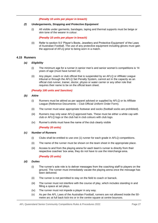#### *(Penalty 10 units per player in breach)*

#### *(f) Undergarments, Strapping and Protective Equipment*

(i) All visible under garments, bandages, taping and thermal supports must be beige or skin tone of the wearer in colour.

#### *(Penalty 10 units per player in breach)*

(ii) Refer to section 9.0 'Player's Boots, Jewellery and Protective Equipment' of the Laws of Australian Football. The use of any protective equipment including gloves must gain the approval of AFLQ prior to being worn in a match.

#### <span id="page-27-0"></span>**4.15 Runners**

- *(a) Eligibility*
	- (i) The minimum age for a runner in senior men's and senior women's competitions is 14 years of age (must have turned 14).
	- (ii) Any player, coach or club official that is suspended by an AFLQ or Affiliate League tribunal or through the AFLQ Set Penalty System, cannot act in the capacity as an official club runner, trainer, doctor, physio or water carrier or any other role that requires their name to be on the official team sheet.

#### *(Penalty 100 units and Sanction)*

- <span id="page-27-8"></span><span id="page-27-7"></span>*(b) Attire*
	- (i) Runners must be attired as per apparel advised or supplied by AFLQ or its Affiliate League (Reference Documents – Club Official Uniform Order Form).
	- (ii) The runner must wear appropriate footwear and socks (football socks are prohibited).
	- (iii) Runners may only wear AFLQ approved hats. These must be either a white cap with club or AFLQ logo or the club hat in club colours with club logo.
	- (iv) Runner's shirts must have the name of the club clearly visible

#### *(Penalty 20 units)*

#### *(c) Number of Runners*

- (i) Clubs shall be entitled to use one (1) runner for each grade in AFLQ competitions.
- (ii) The name of the runner must be shown on the team sheet in the appropriate place.
- (iii) Access to and from the playing arena for each team's runner is directly from their respective coaches' box area, they do not have to use the interchange area.

#### *(Penalty 20 units)*

#### <span id="page-27-4"></span><span id="page-27-1"></span>*(d) Duties*

- (i) The runner's sole role is to deliver messages from the coaching staff to players on the ground. The runner must immediately vacate the playing arena once the message has been delivered.
- <span id="page-27-5"></span>(ii) The runner is not permitted to stay on the field to coach or barrack.
- <span id="page-27-2"></span>(iii) The runner must not interfere with the course of play, which includes standing in and filling a space at set plays.
- <span id="page-27-6"></span><span id="page-27-3"></span>(iv) The runner must not impede a player in any way.
- (v) As per the AFL Laws of the Australian Football, runners are not allowed inside the 50 metre arc at full back kick-ins or in the centre square at centre bounces.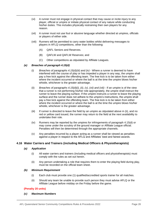- (vi) A runner must not engage in physical contact that may cause or incite injury to any player, official or umpire or initiate physical contact of any nature while conducting his/her duties. This includes physically restraining their own players for any reason.
- <span id="page-28-1"></span>(vii) A runner must not use foul or abusive language whether directed at umpires, officials or players of either side.
- (viii) Runners will be permitted to carry water bottles whilst delivering messages to players in AFLQ competitions, other than the following:
	- (A) QAFL Seniors and Reserves.
	- (B) QAFLW and QAFLW Reserves; and
	- (C) Other competitions as stipulated by Affiliate Leagues.

#### *(e) Breaches of paragraph [4.15\(d\)](#page-27-1)*

- (i) *Breaches of paragraphs 4.15(d[\)\(iii\) a](#page-27-2)nd [\(iv\)](#page-27-3)*  Where a runner is deemed to have interfered with the course of play or has impeded a player in any way, the umpire shall pay a free kick against the offending team. The free kick is to be taken from either where the incident occurred or where the ball is at the time the umpire blows his/her whistle, whichever is the greater advantage.
- (ii) *Breaches of paragraphs [4.15\(d\)](#page-27-1)[\(i\),](#page-27-4) [\(ii\),](#page-27-5) [\(v\), \(](#page-27-6)vii) [and \(viii\)](#page-28-1)* If an umpire is of the view that a runner is not performing his/her role appropriately, the umpire shall instruct the runner to leave the playing surface. If the umpire instructs a runner to leave the playing surface and the runner does not adhere to the umpire's instructions, the umpire shall pay a free kick against the offending team. The free kick is to be taken from either where the incident occurred or where the ball is at the time the umpire blows his/her whistle, whichever is the greater advantage.
- (iii) If runner is directed to leave the field by an umpire as stipulated above in (ii), and no red or yellow card issued, the runner may return to the field at the next availability to undertake their role.
- (iv) Runners may be reported by the umpires for infringements of paragraph [4.15\(d\) o](#page-27-1)r may come under the scrutiny of the ground manager or Affiliate League official. Penalties will then be determined through the appropriate channels.
- (v) Any penalties incurred by a player acting as a runner shall be viewed as penalties against a player in respect to the AFLQ and Affiliates' best and fairest awards.

#### <span id="page-28-0"></span>**4.16 Water Carriers and Trainers (including Medical Officers & Physiotherapists)**

#### *(a) Application*

- (i) All water carriers and trainers (including medical officers and physiotherapists) must comply with the rules as set out herein.
- (ii) Any person undertaking a role that requires them to enter the playing field during play, must be recorded on the official team sheet.

#### *(b) Minimum Requirement*

- (i) Each club must provide one (1) qualified/accredited sports trainer for all matches.
- (ii) Should any team be unable to provide such person they must advise AFLQ or the Affiliate League before midday on the Friday before the game.

#### **(Penalty 20 units)**

*(c) Maximum Numbers*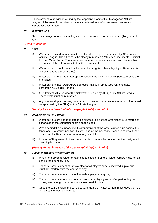Unless advised otherwise in writing by the respective Competition Manager or Affiliate League, clubs are only permitted to have a combined total of six (6) water carriers and trainers for each match.

#### *(d) Minimum Age*

The minimum age for a person acting as a trainer or water carrier is fourteen (14) years of age.

#### *(Penalty 20 units)*

#### <span id="page-29-0"></span>*(e) Attire*

- (i) Water carriers and trainers must wear the attire supplied or directed by AFLQ or its Affiliate League. The attire must be clearly numbered (Reference Documents - Official Uniform Order Form). The number on the uniform must correspond with the number and name of the official as listed on the team sheet.
- (ii) Water carriers should wear black shorts, black tights or black leggings. (Board shorts or denim shorts are prohibited).
- (iii) Water carriers must wear appropriate covered footwear and socks (football socks are prohibited).
- (iv) Water carriers must wear AFLQ approved hats at all times (see runner's hats, paragraph [4.15\(b\)](#page-27-7)[\(iii\)](#page-27-8) Runners).
- (v) Club trainers will also wear the pink vests supplied by AFLQ or its Affiliate League. These vests must be numbered.
- (vi) Any sponsorship advertising on any part of the club trainer/water carrier's uniform must be approved by the AFLQ or the Affiliate League.

#### *(Penalty for each breach of this paragraph [4.16\(e\) –](#page-29-0) 10 units)*

#### <span id="page-29-1"></span>*(f) Location of Water Carriers*

- (i) Water carriers are not permitted to be situated in a defined area fifteen (15) metres on either side of the competing team's coach's box.
- (ii) When behind the boundary line it is imperative that the water carrier is up against the fence and in a crouch position. This will enable the boundary umpire to carry out their duties and facilitate clear viewing for any spectators.
- (iii) Unless refilling water bottles, water carriers cannot be located in the designated coaching box area.

#### *(Penalty for each breach of this paragraph [4.16\(f\) –](#page-29-1) 10 units)*

#### <span id="page-29-5"></span><span id="page-29-3"></span><span id="page-29-2"></span>*(g) Duties of Trainers / Water Carriers*

- (i) When not delivering water or attending to players, trainers / water carriers must remain behind the boundary line.
- (ii) Trainers / water carriers must stay clear of all players directly involved in play and must not interfere with the course of play.
- <span id="page-29-4"></span>(iii) Trainers / water carriers must not impede a player in any way.
- <span id="page-29-6"></span>(iv) Trainers / water carriers must not remain on the playing arena after performing their duties, even though there may be a clear break in play.
- <span id="page-29-7"></span>(v) Once the ball is back in the centre square, trainers / water carriers must leave the field of play by the most direct route.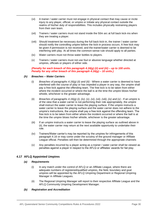- <span id="page-30-1"></span>(vi) A trainer / water carrier must not engage in physical contact that may cause or incite injury to any player, official, or umpire or initiate any physical contact outside the realms of his/her duty of responsibilities. This includes physically restraining players from their own team.
- <span id="page-30-2"></span>(vii) Trainers / water carriers must not stand inside the 50m arc at full back kick-ins when they are treating a player.
- <span id="page-30-3"></span>(viii) Should treatment be necessary during the full back kick-in, the trainer / water carrier should notify the controlling umpire before the kick-in process occurs. A free kick may be given if permission is not received, and the trainer/water carrier is deemed to be interfering with play. At all times the common-sense rule should apply to all parties.
- <span id="page-30-4"></span>(ix) Water carriers must not throw water bottles to players.
- <span id="page-30-5"></span>(x) Trainers / water carriers must not use foul or abusive language whether directed at umpires, officials or players of either side.

#### *(Penalty for each breach of this paragraph [4.16\(g\)](#page-29-2) [\(ii\) a](#page-29-3)nd [\(iii\) –](#page-29-4) up to 100 units. Penalty for any other breach of this paragraph [4.16\(g\) –](#page-29-2) 10 units.)*

#### *(h) Breaches – Water Carriers*

- (i) *Breaches of paragraphs [4.16\(g\)](#page-29-2) [\(ii\) a](#page-29-3)nd [\(iii\)](#page-29-4)*  Where a water carrier is deemed to have interfered with the course of play or has impeded a player in any way, the umpire shall pay a free kick against the offending team. The free kick is to be taken from either where the incident occurred or where the ball is at the time the umpire blows his/her whistle, whichever is the greater advantage.
- (ii) *Breaches of paragraphs [4.16\(g\)](#page-29-2) [\(i\),](#page-29-5) [\(iv\),](#page-29-6) [\(v\),](#page-29-7) [\(vi\),](#page-30-1) [\(vii\),](#page-30-2) [\(viii\),](#page-30-3) [\(ix\) a](#page-30-4)nd [\(x\)](#page-30-5)*  If an umpire is of the view that a water carrier is not performing their role appropriately, the umpire shall instruct the water carrier to leave the playing surface. If the umpire instructs a water carrier to leave the playing surface and the water carrier does not adhere to the umpire's instructions, the umpire shall pay a free kick against the offending team. The free kick is to be taken from either where the incident occurred or where the ball is at the time the umpire blows his/her whistle, whichever is the greater advantage.
- (iii) If an umpire instructs a water carrier to leave the playing surface as outlined above in (ii), the water carrier may return at the next available opportunity to undertake their role.
- (iv) Trainers/Water carrier's may be reported by the umpires for infringements of this paragraph 4.16 or may come under the scrutiny of the ground manager or Affiliate League official. Penalties will then be determined through the appropriate channels
- (v) Any penalties incurred by a player acting as a trainer / water carrier shall be viewed as penalties against a player in respect to the AFLQ or affiliates' awards for fair play.

#### <span id="page-30-0"></span>**4.17 AFLQ Appointed Umpires**

#### *(a) Requirements*

- (i) In any match under the control of AFLQ or an Affiliate League, where there are adequate numbers of registered/qualified umpires, the field, boundary and goal umpires will be appointed by the AFLQ Umpiring Department or Regional Umpiring Manager in Affiliate Leagues.
- (ii) The Regional Umpiring Manager will report to their respective Affiliate League and the AFLQ Community Umpiring Development Manager.

#### *(b) Registration and Accreditation*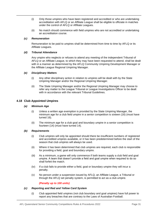- (i) Only those umpires who have been registered and accredited or who are undertaking accreditation with AFLQ or an Affiliate League shall be eligible to officiate in matches under the control of AFLQ or Affiliate Leagues.
- (ii) No match should commence with field umpires who are not accredited or undertaking an accreditation course.

#### *(c) Remuneration*

Remuneration to be paid to umpires shall be determined from time to time by AFLQ or its Affiliate Leagues.

#### *(d) Tribunal Attendance*

Any umpire who neglects or refuses to attend any meeting of the independent Tribunal of AFLQ or an Affiliate League, to which they may have been requested to attend, shall be dealt with in a manner as determined by the AFLQ Community Umpiring Development Manager or the Affiliate League Regional Umpiring Manager.

#### *(e) Disciplinary Matters*

- (i) Any other disciplinary action in relation to umpires will be dealt with by the State Umpiring Manager and/or the Regional Umpiring Manager.
- (ii) The State Umpiring Manager and/or the Regional Umpiring Manager may choose to refer any matter to the League Tribunal or League Investigations Officer to be dealt with in accordance with the relevant Tribunal Guidelines.

#### <span id="page-31-0"></span>**4.18 Club Appointed Umpires**

#### *(a) Minimum Age*

- (i) Unless a written age exemption is provided by the State Umpiring Manager, the minimum age for a club field umpire in a senior competition is sixteen (16) (must have turned 16).
- (ii) The minimum age for a club goal and boundary umpire in a senior competition is fourteen (14) (must have turned 14).

#### *(b) Requirements*

- (i) Club umpires will only be appointed should there be insufficient numbers of registered and accredited umpires available, or it has been predetermined before the start of the season that club umpires will always be used.
- (ii) Where it has been determined that club umpires are required, each club is responsible for providing a field, goal and boundary umpire.
- (iii) As a minimum, a game will only commence if both teams supply a club field and goal umpire. A team that doesn't provide a field and goal umpire when required to do so shall forfeit the match.
- (iv) If a club fails to provide either a field, goal or boundary umpire they will incur a penalty.
- (v) No person under a suspension issued by AFLQ, an Affiliate League, a Tribunal or through the AFLQ set penalty system, is permitted to act as a club umpire.

#### *(Penalty up to 100 units)*

#### <span id="page-31-1"></span>*(c) Reporting and Red and Yellow Card System*

(i) Club appointed field umpires (not club boundary and goal umpires) have full power to report any breaches that are contrary to the Laws of Australian Football.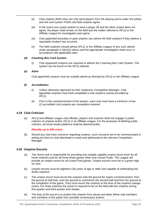- (ii) Club umpires (field only) can only send players from the playing arena under the yellow and red card system if both club field umpires agree.
- (iii) In the event one umpire wishes to send a player off and the other umpire does not agree, the player shall remain on the field and the matter referred to AFLQ or the Affiliate League for investigation post game.
- <span id="page-32-2"></span>(iv) Club appointed boundary or goal umpires can advise the field umpire/s if they believe a reportable incident has occurred.
- (v) The field umpire/s should advise AFLQ or the Affiliate League of any such advice under paragraph  $4.18(c)(iv)$  above and the appropriate investigation shall occur in accordance with applicable rules.

#### *(d) Coaching Box Card System*

(i) Club Appointed Umpires are required to adhere the Coaching Box Card System. The system can be found on the AFLQ website.

#### *(e) Attire*

Club appointed umpires must be suitably attired as directed by AFLQ or the Affiliate League.

#### *(f) Accreditation*

- (i) Unless otherwise approved by their respective Competition Manager, Club appointed umpires must have completed a club umpire's course provided by AFLQ.
- (ii) Prior to the commencement of the season, each club must have a minimum of two (2) accredited club umpires per competition entered.

#### <span id="page-32-0"></span>**4.19 Club Criticism**

(a) AFLQ and Affiliate League club officials, players and coaches shall not engage in public criticism of umpires and/or AFLQ or its Affiliate League. For the purposes of defining public criticism, all social media platforms shall be deemed public.

#### *(Penalty up to 300 units)*

(b) Should any club have concerns regarding umpires, such concerns are to be communicated in writing (on-line) on club letterhead or email and addressed to the relevant Competition Manager.

#### <span id="page-32-1"></span>**4.20 Umpires Escorts**

- (a) The Home club is responsible for providing one suitably capable umpire escort each for all home matches and for all home finals games other than Grand Finals. The League will provide an umpire escort for all Grand Final games. Umpire escorts must be in a green high vis vest.
- (b) Umpire escorts must be eighteen (18) years of age or older and capable of undertaking the duties required.
- (c) The umpire escort must escort the umpires onto the ground for match commencement, from the ground at half time, onto the ground to commence the second half and from the ground at the completion of the game. They must escort the umpires to the door of the umpires change rooms. For finals matches the escort is required to be on the field with the Umpires during first quarter and third quarter time breaks.
- (d) The duty of the escort is to protect the umpires from abuse and deter fellow club members and members of the public from possible unnecessary actions.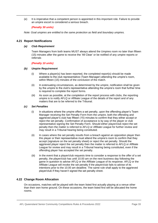(e) It is imperative that a competent person is appointed in this important role. Failure to provide an umpire escort is considered a serious breach.

#### *(Penalty 30 units)*

*Note: Goal umpires are entitled to the same protection as field and boundary umpires.*

#### <span id="page-33-0"></span>**4.21 Report Notifications**

#### *(a) Club Requirement*

Team Managers from both teams MUST always attend the Umpires room no later than fifteen (15) minutes after the game to receive the 'All Clear' or be notified of any umpire reports or referrals

#### *(Penalty 10 units)*

#### *(b) Umpire Requirement*

- (i) Where a player(s) has been reported, the completed report(s) should be made available to the club representative (Team Manager) attending the umpire's room, within fifteen (15) minutes of the conclusion of the match.
- (ii) In extenuating circumstances, as determined by the umpire, notification shall be given by the umpire to the club's representative attending the umpire's room that further time is required to complete the report forms.
- (iii) As soon as possible, at the completion of the report process with clubs, the reporting umpire is to notify AFLQ or Affiliate League of the details of the report and of any matters that are to be referred to the Tribunal.

#### *(c) Set Penalties*

- (i) In situations where the umpire offers a set penalty, upon the offending player's Team Manager receiving the Set Penalty Form from the umpire, both the offending and aggrieved player's club has fifteen (15) minutes to confirm that they either accept or reject the set penalty. Confirmation of acceptance is by way of the player or club representative signing the Set Penalty Form. Should either player/club reject the set penalty then the matter is referred to AFLQ or Affiliate League for further review and may result in a Tribunal hearing being constituted.
- (ii) In cases where the set penalty results from a breach against an opposition player then this player or their representative must attend the umpire's room to confirm that they accept (signature on the set penalty sheet) or reject the set penalty. Should the aggrieved player reject the set penalty then the matter is referred to AFLQ or Affiliate League for review and may result in a Tribunal hearing being constituted, even if the offending player has accepted the set penalty.
- (iii) In the event that a player/club requests time to consider a response to the offer of a set penalty, the player/club has until 10.00 am on the next business day following the game in question to advise AFLQ or the Affiliate League of its response. AFLQ or the Affiliate League will invoke the set penalty if the player/club fails to advise of its intentions prior to the 10.00 am deadline. The same rule shall apply to the aggrieved player/club if they haven't signed the set penalty sheet.

#### <span id="page-33-1"></span>**4.22 Change Room Allocation**

On occasions, matches will be played with the team listed first actually playing at a venue other than their own home ground. On these occasions, the team listed first will be allocated the home rooms.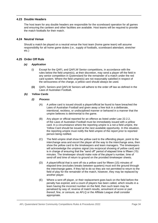#### <span id="page-34-0"></span>**4.23 Double Headers**

The host team for any double headers are responsible for the scoreboard operation for all games and ensuring the canteen and other facilities are available. Host teams will be required to provide the match footballs for their match.

#### <span id="page-34-1"></span>**4.24 Neutral Venue**

Should a match be played on a neutral venue the host team (home game team) will assume responsibility for all home game duties (i.e., supply of footballs, scoreboard attendant, stretcher etc.)

#### <span id="page-34-2"></span>**4.25 Order Off Rule**

#### *(a) Application*

- (i) Except for the QAFL and QAFLW Senior competitions, in accordance with the rules below the field umpire(s), at their discretion, may send a player off the field in any senior competition in Queensland for the remainder of a match under the red card system. Where the field umpire(s) are not reasonably satisfied in respect of the seriousness of the charge, a yellow card should always be used.
- **(ii)** QAFL Seniors and QAFLW Seniors will adhere to the order off law as defined in the Laws of Australian Football**.**
- *(b) Yellow Cards*
	- *(i) Process*
		- (A) A yellow card is issued should a player/official be found to have breached the Laws of Australian Football and given away a free kick in a deliberate, intentional, reckless, or undisciplined manner or behaved in a manner that the umpire believes is detrimental to the game.
		- (B) Any player or official reported for an offence as listed under Law 22.2.2, of the Laws of Australian Football must be immediately issued with a yellow card. In a circumstance where the reporting umpire is a not a field umpire, the Yellow Card should be issued at the next available opportunity. In this situation, the reporting umpire must notify the field umpire of the report prior to reported person being notified.
		- (C) The field umpire shall show the yellow card to the offending player, point to the interchange area and escort the player all the way to the interchange area, then show the yellow card to the timekeepers and team managers. The timekeepers will acknowledge the umpires signal (via reciprocal showing of yellow card) and is in charge of ensuring that the "send off" period of elapsed time is fifteen (15) minutes. The timekeeper should make note of the player's number, time of send-off and time of return to ground on the provided timekeeper sheets.
		- (D) A player/official that is sent off via a yellow card for fifteen (15) minutes of elapsed time (excludes breaks between quarters) must exit the ground through the interchange gates. If they fail to do so they are not permitted to return to the field of play for the remainder of the match, however, they may be replaced by another player.
		- (E) Where a sent off player, or their replacement goes back on the field before the penalty has expired, and a count of players has been called, which results in a team having the incorrect number on the field, then such team may be penalised by way of; reverse of match results, annulment of score or part thereof, fine, or censure, as AFLQ or the Affiliate League shall consider appropriate.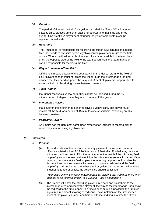#### *(ii) Duration*

The period of time off the field for a yellow card shall be fifteen (15) minutes of elapsed time. Elapsed time shall pause for quarter time, half time and threequarter time breaks. A player sent off under the yellow card system can be replaced immediately.

#### *(iii) Recording*

The Timekeeper is responsible for recording the fifteen (15) minutes of elapsed time that needs to transpire before a yellow carded player can return to the field of play. Where the timekeeper isn't located close or accessible to the team bench or on the opposite side of the field to the team bench area, the team manager can be responsible for recording the time.

#### *(iv) Player to remain 'off the field'*

Off the field means outside of the boundary line. In order to return to the field of play, players sent off must not cross the line through the interchange area until advised that their send off period has expired. A sent off player is not permitted to enter the field of play during breaks between quarters.

#### *(v) Team Runner*

If a runner receives a yellow card, they cannot be replaced during the 15 minute period of elapsed time they are to remain off the ground.

#### *(vi) Interchange Players*

If a player on the interchange bench receives a yellow card, that player must remain off the field for a period of 15 minutes of elapsed time, excluding breaks between quarters.

#### *(vii) Postgame Review*

An umpire has the right post game upon review of an incident to report a player whom they sent off using a yellow card.

#### *(c) Red Cards*

#### *(i) Process*

(A) At the discretion of the field umpie(s), any player/official reported under an offence as listed in Law 22.2.2of the Laws of Australian Football may be issued with a red card and sent off for the remainder of the match if the officiating field umpire(s) are of the reasonable opinion the offence was serious in nature. If the reporting umpire is not a field umpire, the reporting umpire should advise the field umpire(s) of their reasons for wanting to issue a red card and the field umpire(s) shall decide as to whether a red or yellow card is issued. When there is doubt as to red or yellow, the yellow card should be issued.

*(To provide clarity, serious in nature means an incident that would be more likely than not to be referred directly to a Tribunal – not a set penalty)*

(B) The umpire will show the offending player a red card and point them to the interchange area and escort the player all the way to the interchange, then show the red card to the timekeeper. The timekeeper must acknowledge the umpires signal (via reciprocal showing of red card), make notation on the timekeeper sheet of the players number and time of offence and begin to time the fifteen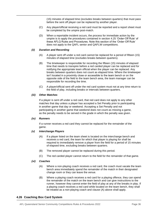(15) minutes of elapsed time (excludes breaks between quarters) that must pass before the sent off player can be replaced by another player.

- (C) Any player/official receiving a red card must be reported and a report sheet must be completed by the umpire post-match.
- (D) When a reportable incident occurs, the process for immediate action by the umpire is to apply the procedures contained in section 4.25 'Order-Off Rule' of these AFLQ Rules and Procedures. Note this section of the 'Order-Off Rule' does not apply to the QAFL senior and QAFLW competitions.

#### *(ii) Duration and Recording*

- (A) A player sent off under a red card cannot be replaced for a period of fifteen (15) minutes of elapsed time (excludes breaks between quarters).
- (B) The timekeeper is responsible for recording the fifteen (15) minutes of elapsed time that needs to transpire before a red carded player can be replaced and for notifying the appropriate team official when the player can be replaced. Any breaks between quarters does not count as elapsed time. Where the timekeeper isn't located in a proximity close or accessible to the team bench or on the opposite side of the field to the team bench area, the team manager can be responsible for recording the time.
- (C) A player/official sent off under the red card system must not at any time return to the field of play, including breaks or intervals between quarters.

#### *(iii) Other Matches*

If a player is sent off under a red card, that red card does not apply to any other matches that day unless a player has accepted a Set Penalty prior to participating in another game that day or weekend. Accepting a Set Penalty and not participating in another game that weekend does not count as missing a game, as the penalty needs to be served in the grade in which the penalty was given.

#### *(iv) Runners*

If a runner receives a red card they cannot be replaced for the remainder of the game.

#### *(v) Interchange Players*

- (A) If a player listed on the team sheet is located on the interchange bench and receives a red card, the team for which that player is playing for shall be required to immediately remove a player from the field for a period of 15 minutes of elapsed time, excluding breaks between quarters.
- (B) The removed player cannot be replaced during this period.
- (C) The red carded player cannot return to the field for the remainder of that game.

#### *(vi) Coaches*

- (A) Where a non-playing coach receives a red card, the coach must vacate the team bench area immediately spend the remainder of the match in their designated change room or they can leave the venue.
- (B) Where a playing coach receives a red card for a playing offence, they can spend the remainder of the match on the team bench and can give instructions to the runner, however they cannot enter the field of play at any of the breaks in play. If a playing coach receives a red card while located on the team bench, they shall be treated as a non-playing coach and clause (A) above shall apply.

#### <span id="page-36-0"></span>**4.26 Coaching Box Card System**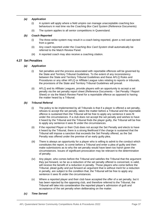#### *(a) Application*

- (i) A system will apply where a field umpire can manage unacceptable coaching box behaviours in real time via the *Coaching Box Card System* (Reference Documents)
- (ii) The system applies to all senior competitions in Queensland.

#### *(b) Coach Reported*

- (i) The three-strike system may result in a coach being reported, given a red card ejected from a game.
- (ii) Any coach reported under the *Coaching Box Card System* shall automatically be referred to the Match Review Panel.
- (iii) A reported coach may also receive a coaching citation.

#### <span id="page-37-0"></span>**4.27 Set Penalties**

- *(a) Application*
	- (i) Set penalties and the process associated with reportable offences will be governed by the State and Territory Tribunal Guidelines. To the extent of any inconsistency between the State and Territory Tribunal Guidelines and these AFLQ Rules and Procedures or any other AFLQ or Affiliate League rules relating to reports or tribunals, the provisions of the State and Territory Tribunal Guidelines will prevail.
	- (ii) AFLQ and its Affiliate Leagues, provide players with an opportunity to accept a set penalty via the set penalty report sheet (Reference Documents – Set Penalty / Report Sheet) or via the Match Review Panel for a reportable offence as opposed to having the matter heard by a Tribunal.

#### *(b) Tribunal Referral*

- (i) The policy to be implemented by all Tribunals is that if a player is offered a set penalty, refuses to accept the set penalty, takes the matter before a Tribunal and the reportable offence is sustained then the Tribunal will be free to apply any sentence it sees fit under the circumstances. If a club does not accept the set penalty and wishes to have it heard by the Tribunal and the Tribunal finds the player guilty, the Tribunal will be free to apply any sentence it sees fit under the circumstances.
- (ii) If the reported Player or their Club does not accept the Set Penalty and elects to have it heard by the Tribunal, there is a strong likelihood if the charge is sustained that the Tribunal will impose a sanction that exceeds the Set Penalty offered, as the Set Penalty was offered under the premise of an early guilty plea.
- (iii) There is always an opportunity for a player who is willing to admit to the conduct which constitutes the report, to come before a Tribunal and enter a plea of guilty and then make submissions as to why the set penalty would have been too harsh given the circumstances. Issues of significant provocation may be relevant to the determination of penalty.
- (iv) Any player, who comes before the Tribunal and satisfies the Tribunal that the argument they put forward, so far as a reduction of the set penalty offered is concerned, is valid, will receive the benefit of a reduction in penalty. Those players who come before the Tribunal, plead guilty and put forward an argument that is without merit for a reduction in penalty, are subject to the condition that, the Tribunal will be free to apply any sentence it sees fit under the circumstances.
- (v) Where a reported player and their club have accepted the offer of a set penalty, but it has been rejected by the opposing club, and therefore referred to the Tribunal, the Tribunal will take into consideration the reported player's admission of guilt and acceptance of the set penalty when deliberating on the matter.

#### *(c) Time Served*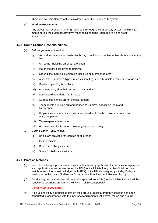There are no Time Served options available under the Set Penalty system.

#### *(d) Multiple Reprimands*

Any player that receives a third (3) reprimand (through the set penalty system) within a 12 month period will automatically have the third Reprimand upgraded to a one-week suspension.

#### <span id="page-38-0"></span>**4.28 Home Ground Responsibilities**

- (a) *Before game*  ensure that:
	- (i) Ground inspection via Marsh Match Day Checklist complete online via Marsh website link.
	- (ii) All rooms (including umpires) are clean
	- (iii) Match footballs are given to umpires
	- (iv) Ground line marking is complete inclusive of interchange area
	- (v) A stretcher (approved type refer section 4.3) is clearly visible at the interchange area
	- (vi) Goal post padding is in place
	- (vii) An emergency siren/bell/air horn is on standby
	- (viii) Scoreboard attendants are in place
	- (ix) Correct club names are on the scoreboard
	- (x) Team sheets are filled out and handed to umpires, opposition team and timekeepers
	- (xi) Umpires' rooms, visitor's rooms, scoreboard and coaches' boxes are open and ready for game
	- (xii) Timekeepers are in place
	- (xiii) Hot water service is on for showers (all change rooms)
- (b) *During game*  ensure that:
	- (i) Drinks are provided for umpires at all breaks
	- (ii) Ice is available
	- (iii) Rooms are always secure
	- (iv) Spare footballs are available

#### <span id="page-38-1"></span>**4.29 Practice Matches**

- (a) No club shall play a practice match without first making application for permission to play and such application must be sanctioned by AFLQ or its Affiliate League. An official practice match request form must be lodged with AFLQ or its Affiliate League by midday Friday a week prior to the match (Reference Documents – Practice Match Request Form).
- (b) Conducting practice matches without prior approval from AFLQ or its Affiliate League will be considered a serious breach and will incur a significant penalty.

*(Penalty up to 300 units)*

(c) No club shall play a practice match on their ground unless a ground inspection has been conducted in accordance with the insurer's requirements. All normal match and ground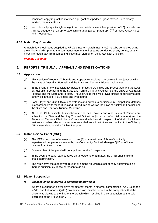conditions apply in practice matches e.g., goal post padded, grass mowed, lines clearly marked, team sheets etc.

(d) No club shall play a twilight or night practice match unless it has provided AFLQ or a relevant Affiliate League with an up-to-date lighting audit (as per paragraph [7.7](#page-56-3) of these AFLQ Rules and Procedures).

#### <span id="page-39-0"></span>**4.30 Match Day Checklist**

A match day checklist as supplied by AFLQ's insurer (Marsh Insurance) must be completed using the online checklist prior to the commencement of the first game conducted at any venue, on any particular match day. Both competing clubs must sign off on the Match Day Checklist.

*(Penalty 100 units)*

#### <span id="page-39-1"></span>**5. REPORTS, TRIBUNAL, APPEALS AND INVESTIGATIONS**

#### <span id="page-39-2"></span>**5.1 Application**

- (a) This section of Reports, Tribunals and Appeals regulations is to be read in conjunction with the Laws of Australian Football and the State and Territory Tribunal Guidelines.
- (b) In the event of any inconsistency between these AFLQ Rules and Procedures and the Laws of Australian Football and the State and Territory Tribunal Guidelines, the Laws of Australian Football and the State and Territory Tribunal Guidelines will prevail, unless specifically stated otherwise in these AFLQ Rules and Procedures.
- (c) Each Player and Club Official understands and agrees to participate in Competition Matches in accordance with these Rules and Procedures as well as the Laws of Australian Football and the State and Territory Tribunal Guidelines.
- (d) All Clubs, Club Officials, Administrators, Coaches, Players and other relevant Persons are subject to the State and Territory Tribunal Guidelines (in respect of on-field matters) and the State and Territory Disciplinary Committee Guidelines (in respect of off-field disciplinary matters and other relevant matters) as amended from time to time and notified to the Clubs by AFL Queensland and the Affiliate Leagues.

#### <span id="page-39-3"></span>**5.2 Match Review Panel (MRP)**

- (a) The MRP comprises of a minimum of one (1) or a maximum of three (3) suitably experienced people as appointed by the Community Football Manager QLD or Affiliate League from time to time.
- (b) One member of the panel will be appointed as the Chairperson.
- (c) In the event the panel cannot agree on an outcome of a matter, the Chair shall make a final determination.
- (d) The MRP have the authority to revoke or amend an umpire's set penalty determination if there is sufficient evidence or reason to do so.

#### <span id="page-39-4"></span>**5.3 Player Suspension**

#### *(a) Suspension to be served in competition playing in*

Where a suspended player plays for different teams in different competitions (e.g., Southport in VFL and Labrador in QAFL) any suspension must be served in the competition that the player was playing at the time of the breach which resulted in the suspension, at the sole discretion of the Tribunal or MRP.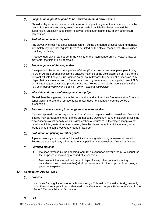#### *(b) Suspension in practice game to be served in home & away season*

Should a player be suspended due to a report in a practice game, the suspension must be served in the home and away season of the grade in which the player received the suspension. Until such suspension is served, the player cannot play in any other fixture competition.

#### *(c) Prohibition on match day role*

Any player who receives a suspension cannot, during the period of suspension, undertake any match day role that requires them to be listed on the official team sheet. This includes coaching or playing.

A Suspended player cannot be in the vicinity of the interchange area or coach's box but may enter the field of play at breaks.

#### *(d) Practice games whilst suspended*

A suspended player that has a penalty of three (3) matches or less may participate in any AFLQ or Affiliate League sanctioned practice matches at the sole discretion of AFLQ or the relevant Affiliate League. Such games do not count towards the period of suspension. Any player that has a suspension of four (4) matches or greater cannot participate in any AFLQ or Affiliate League sanctioned practice matches. *(To the extent of any inconsistency, this rule overrides any rule in the State & Territory Tribunal Guidelines).*

#### *(e) Interstate and representative games during Bye*

Should there be a general bye in the competition and an Interstate / representative fixture is scheduled in the bye, the representative match does not count towards the period of suspension.

#### *(f) Reported players playing in other games on same weekend*

A player reported (set penalty and / or tribunal) during a game held on a weekend / round of fixtures may participate in other games on that same weekend / round of fixtures, unless the player accepts a set penalty which is greater than a reprimand. If the player accepts a set penalty which is greater than a reprimand, then the player cannot participate in any other grade during the same weekend / round of fixtures.

#### *(g) Prohibition on playing for other grades*

A player serving a suspension / disqualification in a grade during a weekend / round of fixtures cannot play in any other grade or competition on that weekend / round of fixtures.

#### *(h) Forfeited matches*

- (i) Matches forfeited by the opposing team (of a suspended player's team), will count for the purposes of reckoning a period of suspension.
- (ii) Matches which are scheduled but not played for any other reason (including cancellation due to wet weather) shall not be counted for the purpose of reckoning a period of suspension

#### <span id="page-40-0"></span>**5.4 Competition Appeal Rules**

#### *(a) Process*

If a player found guilty of a reportable offence by a Tribunal or Controlling Body, may only bring forward an appeal in accordance with the Competition Appeal Rules as outlined in the State & Territory Tribunal Guidelines.

*(b) Fee*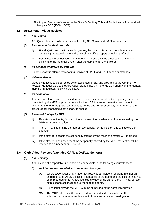The Appeal Fee, as referenced in the State & Territory Tribunal Guidelines, is five hundred dollars plus GST (\$500 + GST).

#### <span id="page-41-0"></span>**5.5 AFLQ Match Video Reviews**

#### *(a) Application*

AFL Queensland records match vision for all QAFL Senior and QAFLW matches.

#### *(b) Reports and incident referrals*

- (i) For all QAFL and QAFLW senior games, the match officials will complete a report identifying the specific time and place of any official report or incident referral.
- (ii) Both clubs will be notified of any reports or referrals by the umpires when the club official attends the umpire room after the game to get the 'all clear'.

#### *(c) No set penalty offered by umpires*

No set penalty is offered by reporting umpires at QAFL and QAFLW senior matches.

#### *(d) Video evidence*

Video evidence is to be collected by an appointed official and provided to the Community Football Manager QLD at the AFL Queensland offices in Yeronga as a priority on the Monday morning immediately following the fixture.

#### *(e) No clear vision*

If there is no clear vision of the incident on the video evidence, then the reporting umpire is contacted by the MRP to provide details for the MRP to assess the matter and the option of offering the reported player a set penalty. In the case of a set penalty being offered, the procedure for managing a set penalty is applied.

#### *(f) Review of footage by MRP*

- (i) Reportable incidents, for which there is clear video evidence, will be reviewed by the MRP for a determination.
- (ii) The MRP will determine the appropriate penalty for the incident and will advise the offender.
- (iii) If the offender accepts the set penalty offered by the MRP, the matter will be closed.
- (iv) If the offender does not accept the set penalty offered by the MRP, the matter will be referred to an independent Tribunal.

#### <span id="page-41-1"></span>**5.6 Club Video Reviews (excludes QAFL & QAFLW Seniors)**

#### *(a) Admissibility*

A club video of a reportable incident is only admissible in the following circumstances:

#### *(i) Incident report provided to Competition Manager*

- (A) Where a Competition Manager has received an incident report from either an umpire or other AFLQ official in attendance at the game and the incident has not been recorded on an AFL Queensland video of the game, the MRP may contact both clubs to ask if either club videoed the game.
- (B) Clubs must provide the MRP with the club video of the game if requested.
- (C) The MRP will review the video evidence and decide as to whether the video evidence is admissible as part of the assessment or investigation.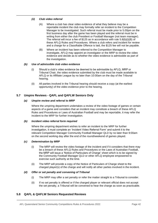#### *(ii) Club video referral*

- (A) Where a club has clear video evidence of what they believe may be a reportable incident the club may formally refer an incident to the Competition Manager to be investigated. Such referral must be made prior to 5.00pm on the first business day after the game has been played and the referral must be in writing from either the club President or Football Manager (not team manager). The referral will incur a fee of \$125 as in accordance with rule [5.8\(b\)](#page-43-1)[\(i\)](#page-44-0)[\(B\) o](#page-44-1)f these AFLQ Rules and Procedures. Where a club refers and incident for review and a charge for a Classifiable Offence is laid, the \$125 fee will not be payable.
- (B) Where an incident has been referred to the Competition Manager to investigate, AFLQ may appoint an investigator or the MRP to review the video evidence and decide as to whether the video evidence is admissible as part of the investigation.

#### *(b) Use of admissible club video evidence*

- (i) Should a club's video evidence be deemed to be admissible by AFLQ, MRP or Tribunal Chair, the video evidence submitted by the club must be made available to AFLQ or its Affiliate League by no later than 10:00am on the day of the Tribunal hearing.
- (ii) All parties involved in the Tribunal hearing should receive a copy (at the earliest opportunity) of the video evidence prior to the hearing.

#### <span id="page-42-0"></span>**5.7 Umpire Reviews - QAFL and QAFLW Seniors Only**

#### *(a) Umpire review and referral to MRP*

Where the umpiring department undertakes a review of the video footage of games or certain aspects of a game and considers that an incident may constitute a breach of these AFLQ Rules and Procedures or Laws of Australian Football and may be reportable, it may refer the incident to the MRP for further investigation.

#### *(b) Incident video referral form required*

Where the umpiring department wishes to refer an incident to the MRP for further investigation, it must complete an 'Incident Video Referral Form' and submit it to the relevant Competition Manager Community Football Manager QLD by no later than 9:00am on the second working day after the end of the round/weekend of games played.

#### *(c) Determination by MRP*

- (i) The MRP will review the video footage of the incident and if it considers that there may be a breach of these AFLQ Rules and Procedures or the Laws of Australian Football, the MRP will issue a 'Notice of Particulars of Charge' sheet which is to be signed by the Community Football Manager QLD or other AFLQ employee empowered to exercise such authority at the time.
- (ii) The MRP will provide a copy of the Notice of Particulars of Charge sheet to the charged player(s) of the charge and will notify all other parties involved in the incident.

#### *(d) Offer or set penalty and convening of Tribunal*

- (i) The MRP may offer a set penalty or refer the matter straight to a Tribunal to consider.
- (ii) If no set penalty is offered or if the charged player or relevant official does not accept the set penalty, a Tribunal will be convened to hear the charge as soon as practicable.

#### <span id="page-42-1"></span>**5.8 QAFL & QAFLW Seniors Requested Reviews**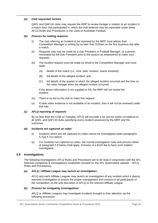#### <span id="page-43-2"></span>*(a) Club requested reviews*

QAFL and QAFLW clubs may request the MRP to review footage in relation to an incident in a match their club participated in, which the club believes may be reportable under these AFLQ Rules and Procedures or the Laws of Australian Football.

#### *(b) Process for making requests*

- (i) The club referring an incident to be reviewed by the MRP must advise their Competition Manager in writing by no later than 9.00am on the first business day after a match.
- (ii) Requests may only be made by a club President or Football Manager, or a person nominated by the club President prior to the season as empowered to make such requests.
- (iii) The incident request must be made by email to the Competition Manager and must state:
	- (A) details of the match (i.e., time, date, location, teams involved).
	- (B) full details of the alleged incident; and
	- (C) full details of the quarter in which the alleged incident occurred and the time on the video footage when the alleged incident occurred.

If the above information is not supplied in full, the MRP will not review the incident.

- (iv) There is no fee to the club to make this request.
- (v) If clear video evidence is not available of an incident, then it will not be reviewed under this rule.

#### <span id="page-43-3"></span>*(c) AFLQ reporting of requests*

By no later than the COB on Tuesday, AFLQ will circulate a list (not for public circulation) to all QAFL and QAFLW clubs specifying every incident assessed by the MRP and the outcomes.

#### *(d) Incidents not captured on video*

- (i) Incidents which are not captured on video cannot be investigated under paragraphs [5.7\(a\)-](#page-43-2)[5.7\(c\)](#page-43-3) above.
- (ii) For incidents not captured on video, the normal investigation rules and process listed at paragraph 5.8 below shall apply, inclusive of a \$125 fee to have such matters investigated.

#### <span id="page-43-0"></span>**5.9 Investigations**

The following Investigations AFLQ Rules and Procedures are to be read in conjunction with the AFL National Complaints & Investigations Guidelines (located on the AFL Queensland website – AFLQ Rules and Procedures).

#### *(a) AFLQ / Affiliate League may launch an investigation*

AFLQ and each Affiliate Leagues may launch an investigation of any incident which it deems warrants investigation to ensure the proper management and conduct of all participants of the competition, at the sole discretion of AFLQ or the relevant Affiliate League.

#### <span id="page-43-1"></span>*(b) Process for instigating investigations*

AFLQ or Affiliate Leagues may investigate incidents brought to their attention via the following processes: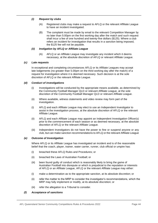#### <span id="page-44-1"></span><span id="page-44-0"></span>*(i) Request by clubs*

- (A) Registered clubs may make a request to AFLQ or the relevant Affiliate League to have an incident investigated.
- (B) The complaint must be made by email to the relevant Competition Manager by no later than 5:00pm on the first working day after the match and such request shall incur a fee of one hundred and twenty-five dollars (\$125). Where a club refers an incident for investigation that results in a sanction being imposed, the \$125 fee will not be payable.

#### *(ii) Instigation by AFLQ or Affiliate League*

(A) AFLQ or an Affiliate League may investigate any incident which it deems necessary, at the absolute discretion of AFLQ or relevant Affiliate League.

#### *(c) Late requests*

In exceptional and completing circumstances AFLQ or its Affiliate Leagues may accept late lodgements (no greater than 5.00pm on the third working day after the match) of a request for investigation where it is deemed necessary. Such decision is at the sole discretion of AFLQ or the relevant Affiliate League.

#### *(d) Conduct of investigations*

- (i) Investigations will be conducted by the appropriate means available, as determined by the Community Football Manager QLD or relevant Affiliate League, at the sole discretion of the Community Football Manager QLD or relevant Affiliate League.
- (ii) Where available, witness statements and video review may form part of the investigation.
- (i) AFLQ and each Affiliate League may elect to use an Independent Investigator to assist in the investigation process, at the absolute discretion of AFLQ or the relevant Affiliate League.
- (ii) AFLQ and each Affiliate League may appoint an Independent Investigation Officer(s) prior to the commencement of each season or as deemed necessary, at the absolute discretion of AFLQ or the relevant Affiliate League.
- (iii) Independent Investigators do not have the power to fine or suspend anyone or any club, but can make sanction recommendations to AFLQ or the relevant Affiliate League

#### *(e) Outcome of Investigation*

Where AFLQ or its Affiliate League has investigated an incident and is of the reasonable belief that the coach, player, trainer, water carrier, runner, club official or umpire has:

- (i) breached these AFLQ Rules and Procedures; or
- (ii) breached the Laws of Australian Football; or
- (iii) been found guilty of conduct which is reasonably likely to bring the game of Australian Football into disrepute or which is prejudicial to the reputation or interests of AFLQ or an Affiliate League, AFLQ or the relevant Affiliate League may either:
- (i) make a determination as to the appropriate sanction, at its absolute discretion; or
- (ii) refer the matter to the MRP to consider the investigator's recommendations, which the MRP may fully implement or modify, at its absolute discretion; or
- (iii) refer the allegation to a Tribunal to consider.

#### *(f) Acceptance of sanctions*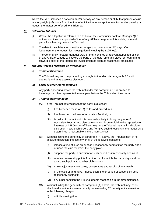Where the MRP imposes a sanction and/or penalty on any person or club, that person or club has forty-eight (48) hours from the time of notification to accept the sanction and/or penalty or request the matter be referred to a Tribunal.

#### *(g) Referral to Tribunal*

- (i) Where the allegation is referred to a Tribunal, the Community Football Manager QLD or their nominee or appointed officer of any Affiliate League, will fix a date, time and place for a hearing before the Tribunal.
- (ii) The date for such hearing must be no longer than twenty-one (21) days after lodgement of the request for investigation (including the \$125 fee).
- (iii) The Community Football Manager QLD or their nominee or relevant appointed officer of any Affiliate League will advise the party of the date, time and place for hearing and forward a copy of the request for investigation as soon as reasonably practicable.

#### *(h) Tribunal Process following an investigation*

#### *(i) Tribunal Discretion*

The Tribunal may run the proceedings brought to it under this paragraph 5.8 as it deems fit and at its absolute discretion.

#### *(ii) Legal or other representatives*

Any party appearing before the Tribunal under this paragraph 5.8 is entitled to have legal or other representation to appear before the Tribunal on their behalf.

#### <span id="page-45-0"></span>*(iii) Tribunal determination*

- (A) If the Tribunal determines that the party in question:
	- (I) has breached these AFLQ Rules and Procedures.
	- (II) has breached the Laws of Australian Football; or
	- (III) is guilty of conduct which is reasonably likely to bring the game of Australian Football into disrepute or which is prejudicial to the reputation or interests of AFLQ or an Affiliate League, the Tribunal may, at its absolute discretion, make such orders and / or give such directions in the matter as it determines is reasonable in the circumstances.
- (B) Without limiting the generality of paragraph [\(A\) a](#page-45-0)bove, the Tribunal may, at its absolute discretion, impose any or all of the following sanctions:
	- (I) impose a fine of such amount as it reasonably deems fit on the party and / or upon the club for which the party plays.
	- (II) suspend the party in question for such period as it reasonably deems fit.
	- (III) remove premiership points from the club for which the party plays and / or award such points to another club or clubs.
	- (IV) make adjustments to scores, percentages and results of any match.
	- (V) in the case of an umpire, impose such fine or period of suspension as it reasonably deems fit.
	- (VI) any other sanction the Tribunal deems reasonable in the circumstances.
- (C) Without limiting the generality of paragraph (A) above, the Tribunal may, at its absolute discretion, impose a penalty not exceeding 25 penalty units in relation to the following charges:
	- (I) wilfully wasting time.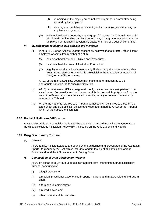- (II) remaining on the playing arena not wearing proper uniform after being warned by the umpire; or
- (III) wearing unacceptable equipment (boot studs, rings, jewellery, surgical appliances or guards).
- (D) Without limiting the generality of paragraph (A) above, the Tribunal may, at its absolute discretion, direct a player found guilty of language related charges to umpire junior matches in a voluntary capacity, in lieu of a suspension or fine.

#### *(i) Investigations relating to club officials and members*

- (i) Where AFLQ or an Affiliate League reasonably believes that a director, office bearer, employee or committee member of a club:
	- (A) has breached these AFLQ Rules and Procedures.
	- (B) has breached the Laws of Australian Football; or
	- (C) is guilty of conduct which is reasonably likely to bring the game of Australian Football into disrepute or which is prejudicial to the reputation or interests of AFLQ or an Affiliate League,

AFLQ or the relevant Affiliate League may make a determination as to the appropriate sanction, at its absolute discretion.

- (ii) AFLQ or the relevant Affiliate League will notify the club and relevant parties of the sanction and / or penalty and that person or club has forty-eight (48) hours from the time of notification to accept the sanction and/or penalty or request the matter be referred to a Tribunal.
- (iii) Where the matter is referred to a Tribunal, witnesses will be limited to those on the team sheet and club officials, unless otherwise determined by AFLQ or the Tribunal Chair, at their absolute discretion.

#### <span id="page-46-0"></span>**5.10 Racial & Religious Vilification**

Any racial or vilification complaint made shall be dealt with in accordance with AFL Queensland Racial and Religious Vilification Policy which is located on the AFL Queensland website.

#### <span id="page-46-1"></span>**5.11 Drug Disciplinary Tribunal**

#### *(a) General*

AFLQ and its Affiliate Leagues are bound by the guidelines and procedures of the Australian Sports Drug Agency (ASDA), which includes random testing of all participants across Queensland, and the AFL National Anti-Doping Code.

#### *(b) Composition of Drug Disciplinary Tribunal*

AFLQ on behalf of all Affiliate Leagues may appoint from time to time a drug disciplinary Tribunal comprising of:

- (i) a legal practitioner.
- (ii) a medical practitioner experienced in sports medicine and matters relating to drugs in sport.
- (iii) a former club administrator.
- (iv) a retired player; and
- (v) other members at its discretion.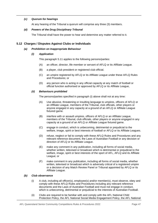#### *(c) Quorum for hearings*

At any hearing of the Tribunal a quorum will comprise any three (3) members.

#### *(d) Powers of the Drug Disciplinary Tribunal*

The Tribunal shall have the power to hear and determine any matter referred to it.

#### <span id="page-47-1"></span><span id="page-47-0"></span>**5.12 Charges / Disputes Against Clubs or Individuals**

#### *(a) Prohibition on Inappropriate Behaviour*

#### *(i) Application*

This paragraph 5.11 applies to the following persons/parties:

- (A) an officer, director, life member or servant of AFLQ or its Affiliate League.
- (B) a player, club president or registered club official.
- (C) an umpire registered by AFLQ or its Affiliate League under these AFLQ Rules and Procedures; or
- (D) any person who is acting in any official capacity at any match of football or official function authorised or approved by AFLQ or its Affiliate League,

#### *(ii) Behaviours prohibited*

The persons/parties specified in paragraph [\(i\) a](#page-47-1)bove shall not at any time:

- (A) Use abusive, threatening or insulting language to umpires, officers of AFLQ or an Affiliate League, members of the Tribunal, club officials, other players or anyone engaged in any capacity at a ground of an AFLQ or Affiliate League fixtured game.
- (B) interfere with or assault umpires, officers of AFLQ or an Affiliate League, members of the Tribunal, club officials, other players or anyone engaged in any capacity at a ground of an AFLQ or Affiliate League fixtured game.
- (C) engage in conduct, which is unbecoming, detrimental or prejudicial to the welfare, image, spirit or best interests of football or AFLQ or its Affiliate Leagues.
- (D) refuse, neglect or fail to comply with these AFLQ Rules and Procedures and any relevant reference document, the Laws of Australian Football or any decision or direction of AFLQ or its Affiliate League.
- (E) make any comment in any publication, including all forms of social media, whether written, televised or broadcast which is detrimental or prejudicial to the welfare, image, spirit or best interests of the sport of AFL, AFLQ and its Affiliate League; or
- (F) make comment in any publication, including all forms of social media, whether written, televised or broadcast which is adversely critical of a registered umpire or a decision of any Match Review Panel or Tribunal appointed by AFLQ or its Affiliate League.

#### *(b) Club observance*

- (i) A club, including all officer(s), employee(s) and/or member(s), must observe, obey and comply with these AFLQ Rules and Procedures including any relevant reference documents and the Laws of Australian Football and must not engage in conduct, which is unbecoming, detrimental or prejudicial to the interests of Australian Football.
- (ii) Clubs are required to be familiar with and comply with the AFL National Child Protection Policy, the AFL National Social Media Engagement Policy, the AFL National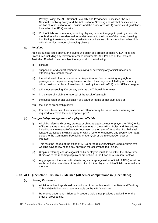Privacy Policy, the AFL National Sexuality and Pregnancy Guidelines, the AFL National Gambling Policy and the AFL National Smoking and Alcohol Guidelines as well as all other national AFL policies and the associated AFLQ policies and guidelines located on the AFLQ website.

(iii) Club officials and members, including players, must not engage in postings on social media sites which are deemed to be detrimental to the image of the game, insulting, humiliating, threatening and/or abusive towards League officials, umpires, other club officials and/or members, including players.

#### *(c) Penalties*

An individual as listed above, or a club found guilty of a breach of these AFLQ Rules and Procedures including any relevant reference documents, AFL Policies or the Laws of Australian Football, may be subject to any or all of the following:

- (i) censure.
- (ii) suspension or disqualification from playing or exercising any official function or attending any football match.
- (iii) the withdrawal of, or suspension or disqualification from exercising, any right or privilege which a person may have or to which they may be entitled by virtue of any office, position or class of membership held by them with AFLQ or its Affiliate League.
- (iv) a fine not exceeding 300 penalty units as the Tribunal determines.
- (v) in the case of a club, the reversal of the result of a match.
- (vi) the suspension or disqualification of a team or teams of that club; and / or
- (vii) the loss of premiership points.
- (viii) For minor breaches of social media an offender may be issued with a warning and required to remove the inappropriate 'post'.

#### *(d) Charges / disputes against clubs, players, officials*

- (i) All clubs referring disputes, protests or charges against clubs or players to AFLQ or its Affiliate League or reporting any infringements of these AFLQ Rules and Procedures including any relevant Reference Document, or the Laws of Australian Football shall forward particulars in writing together with a fee of one hundred and twenty-five (\$125) dollars to the Community Football Manager QLD or the relevant Competition Manager.
- (ii) This must be lodged at the office of AFLQ or the relevant Affiliate League within two working days following the day on which the occurrence took place.
- (iii) Umpires referring charges against clubs or players must do so within the above time. Duties as to the reporting of players are set out in the Laws of Australian Football.
- (iv) Any player or other club official referring a charge against an official of AFLQ must do so through the committee of the club of which the player or club official concerned is a member.

#### <span id="page-48-0"></span>**5.13 AFL Queensland Tribunal Guidelines (All senior competitions in Queensland)**

#### *(a) Hearing Procedure*

- (i) All Tribunal hearings should be conducted in accordance with the State and Territory Tribunal Guidelines which are available on the AFLQ website.
- (ii) Reference document Tribunal Procedure Guidelines provides a guideline for the order of proceedings.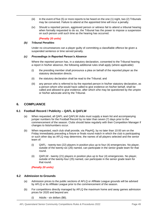- (iii) In the event of five (5) or more reports to be heard on the one (1) night, two (2) Tribunals may be convened. Failure to attend at the appointed time will incur a penalty.
- (iv) Should a reported person, aggrieved person or witness fail to attend a tribunal hearing when formally requested to do so, the Tribunal has the power to impose a suspension on such person until such time as the hearing has occurred.

#### *(Penalty 20 units)*

#### *(b) Tribunal Penalties*

Under no circumstances can a player guilty of committing a classifiable offence be given a suspended sentence or time served penalty.

#### *(c) Proceedings in Reported Person's Absence*

Where the reported person has, in a statutory declaration, consented to the Tribunal hearing a report in his/her absence, the following additional rules shall apply (where applicable):

- (i) the presiding member shall pronounce a plea on behalf of the reported player as the statutory declaration directs.
- (ii) the statutory declaration shall be read to the Tribunal; and
- (iii) any person who is referred to by the reported person in his/her statutory declaration, as a person whom s/he would have called to give evidence on his/her behalf, shall be called and allowed to give evidence, after which s/he may be questioned by the umpire or his/her advocate and by the Tribunal.

#### <span id="page-49-0"></span>**6. COMPLIANCE**

#### <span id="page-49-1"></span>**6.1 Football Record / Publicity – QAFL & QAFLW**

- (a) When requested, all QAFL and QAFLW clubs must supply a team list and accompanying jumper numbers for the Football Record by no later than seven (7) days prior to the commencement of the season. Clubs should liaise regularly with their Competition Manager if changes to lists/numbers occur.
- <span id="page-49-3"></span>(b) When requested, each club shall provide, via PlayHQ, by no later than 10:00 am on the Friday immediately preceding a fixture or finals round match in which the club is participating or such other day as AFLQ may determine, the names of all players selected and the senior team of:
	- (i) QAFL twenty-two (22) players in position plus up to four (4) emergencies. No player, outside of the twenty-six (26) named, can participate in the senior grade team for that round.
	- (ii) QAFLW twenty (21) players in position plus up to four (4) emergencies. No player, outside of the twenty-four (25) named, can participate in the senior grade team for that round.

#### *(Penalty 20 units)*

#### <span id="page-49-2"></span>**6.2 Admission to Grounds**

- (a) Admission prices to the public sections of AFLQ or Affiliate League grounds will be advised by AFLQ or its Affiliate League prior to the commencement of the season.
- (b) For competitions directly managed by AFLQ the maximum home and away games admission prices for 2020 and beyond are:
	- (i) Adults six dollars (\$6).

AFL Queensland Senior Community Competitions Rules & Procedures 2022 **Page 49** Page 49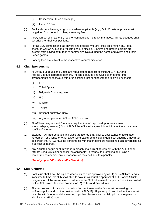- (ii) Concession three dollars (\$3).
- (iii) Under 16 free.
- (c) For local council managed grounds, where applicable (e.g., Gold Coast), approval must be gained from council to charge an entry fee.
- (d) AFLQ will set all finals entry fees for competitions it directly manages. Affiliate Leagues shall set prices for their competitions.
- (e) For all SEQ competitions, all players and officials who are listed on a match day team sheet, as well as AFLQ and Affiliate League officials, umpires and umpire officials are exempt from paying entry fees to community ovals during the home and away, and Finals Series games.
- (f) Parking fees are subject to the respective venue's discretion.

#### <span id="page-50-0"></span>**6.3 Club Sponsorship**

- (a) All Affiliate Leagues and Clubs are requested to respect existing AFL, AFLQ and Affiliate League corporate partners. Affiliate Leagues and Clubs cannot enter into arrangements or associate with organisations that conflict with the following sponsors:
	- (i) LRF
	- (ii) Tribal Sports
	- (iii) Belgravia Sports Apparel
	- (iv) ISC
	- (v) Classic
	- (vi) Toyota
	- (vii) National Australian Bank
	- (viii) Any other protected AFL or AFLQ sponsor
- (b) All Affiliate Leagues and Clubs are required to seek approval (prior to any new sponsorship agreement) from AFLQ if the Affiliate League/club anticipates there may be a conflict of interest.
- (c) *Signage*  Affiliate Leagues and clubs are alerted that, prior to acceptance of a signage agreement for a fence or other advertising backdrop (including goal post padding), they must be certain that AFLQ have no agreements with major sponsors restricting such advertising as a conflict of interest.
- (d) Any Affiliate League or club who is in breach of a current agreement with the AFLQ or an Affiliate League's major sponsor (as applicable) in respect to promoting and using a competitor companies' product or services may be liable to a penalty.

*(Penalty up to 300 units and/or Sanction)*

#### <span id="page-50-1"></span>**6.4 Club Uniforms**

- (a) Each club shall have the right to wear such colours approved by AFLQ or its Affiliate League from time to time. No club shall alter its colours without the approval of AFLQ or its Affiliate Leagues. All clubs are required to adhere to the 'AFLQ Licensed Suppliers Guidelines posted on the AFLQ website under Policies, AFLQ Rules and Procedures.
- (b) All coaches and officials who, in their roles, venture onto the field must be wearing club uniforms (polos and / or tracksuit tops with AFLQ IP). All player polo and tracksuit tops must bear the AFLQ logo, and the warmup tops that players wear on-field prior to the game must also include AFLQ logo.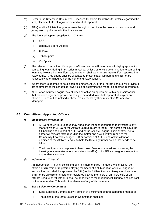- (c) Refer to the Reference Documents Licensed Suppliers Guidelines for details regarding the size, placement etc. of logos for on and off-field apparel.
- (d) AFLQ and its Affiliate Leagues reserve the right to nominate the colour of the shorts and jersey worn by the team in the finals' series.
- (e) The licensed apparel suppliers for 2022 are:
	- (i) LRF
	- (ii) Belgravia Sports Apparel
	- (iii) Classic
	- (iv) Tribal Sports
	- (v) Viv Sports
- (f) The relevant Competition Manager or Affiliate League will determine all playing apparel for competing teams during finals series matches. Unless otherwise determined, one competing team shall wear a home uniform and one team shall wear an alternate uniform approved for away games. Club shorts shall be allocated to match player jumpers and shall not be necessarily determined as per the home and away season.
- (g) Where there is deemed to be a clash of jumpers, AFLQ or the Affiliate League will provide a set of jumpers to the scheduled 'away' club or determine the matter as deemedappropriate.
- (h) AFLQ or an Affiliate League may at times establish an agreement with a sponsor/partner that require a logo or corporate branding to be added to on-field apparel of players and officials. Clubs will be notified of these requirements by their respective Competition Managers.

#### <span id="page-51-0"></span>**6.5 Committees / Appointed Officers**

#### *(a) Independent Investigator*

- (i) AFLQ or its Affiliate League may appoint an independent person to investigate any matters which AFLQ or the Affiliate League refers to them. This person will have the full backing and support of AFLQ and/or the Affiliate League. Their brief will be to gather all relevant facts regarding the matter and give a written report to the Community Football Manager QLD or nominee of AFLQ, and/or President or nominee of the Affiliate League to help facilitate any further action that needs to be taken.
- (ii) The investigator has no power to hand down fines or suspensions. However, the investigator can make recommendations to AFLQ or its Affiliate League in respect to appropriate sanctions.

#### *(b) Independent Tribunal*

An Independent Tribunal, consisting of a minimum of three members who shall not be officials or directors or registered playing members of a club or of an Affiliate League or association club, shall be appointed by AFLQ or its Affiliate League. Proxy members who shall not be officials or directors or registered playing members of an AFLQ club or an Affiliate League or Affiliate club shall be appointed to the Independent Tribunal and shall act on the Independent Tribunal in the absence of any of its members.

#### *(c) State Selection Committees*

- (i) State Selection Committees will consist of a minimum of three appointed members.
- (ii) The duties of the State Selection Committees shall be: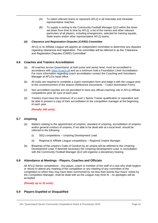- (A) To select relevant teams to represent AFLQ in all Interstate and Intrastate representative matches.
- (B) To supply in writing to the Community Football Manager QLD within the times set down from time to time by AFLQ, a list of the names and other relevant particulars of all players, including emergencies, selected for training squads, State teams and/or other representative AFLQ teams.

#### *(d) Clearance and Registration Disputes (CARD) Committee*

AFLQ or its Affiliate League will appoint an independent committee to determine any disputes regarding clearances and registration. This committee will be referred to as the "Clearance and Registration Disputes (CARD) Committee".

#### <span id="page-52-0"></span>**6.6 Coaches and Trainers Accreditation**

- (a) All coaches across Queensland, at both junior and senior level, must be accredited in accordance with [https://coach.afl](https://coach.afl/) and as a minimum hold a Foundation Level Accreditation. For more information regarding coach accreditation contact the Coaching and Volunteers Manager at AFLQ's head office.
- (b) All clubs are required to complete a coach nomination form and lodge it with the League prior to the commencement of the season (Reference Documents – Coach Nomination Form).
- (c) Non-accredited coaches are not permitted to have any official coaching role in AFLQ Affiliate competitions post 30 June of each year.
- (d) Trainers must have the minimum of a Level 1 Sports Trainer qualification or equivalent and be able to present a copy of their accreditation to the competition manager at the beginning of each year.

*(Penalty 100 units)*

#### <span id="page-52-1"></span>**6.7 Umpiring**

- (a) Matters relating to the appointment of umpires, standard of umpiring, accreditation of umpires and/or general conduct of umpires, if not able to be dealt with at a local level, should be referred to the following:
	- (i) SEQ competitions Umpiring Development Lead
	- (ii) Regional & Affiliate League competitions Regional Umpire Manager
- (b) Breaches of the umpire's Code of Conduct by an umpire will be referred to the Umpiring Development Lead. If deemed necessary the Umpiring Development Lead, in consultation with the Community Football Manager QLD will organise a disciplinary hearing.

#### <span id="page-52-2"></span>**6.8 Attendance at Meetings - Players, Coaches and Officials**

All AFLQ Senior competitions - Any player, coach or member of the staff of a club who shall neglect or refuse to attend any meeting of the competition or any meeting of any committee of the competition to which they may have been summoned by not less than twenty-four hours' notice by the Competition Manager, shall be dealt with as the League may think fit – no apologies will be accepted.

*(Penalty up to 10 units)*

#### <span id="page-52-3"></span>**6.9 Players Expelled or Disqualified**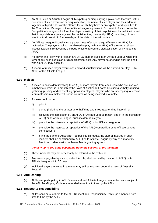- (a) An AFLQ club or Affiliate League club expelling or disqualifying a player shall forward, within one week of such expulsion or disqualification, the name of such player and their address together with particulars of the offence for which they have been expelled or disqualified to the Competition Manager or their Affiliate League equivalent. On receipt of such notice the Competition Manager will inform the player in writing of their expulsion or disqualification and that if they wish to appeal against the decision, they must notify AFLQ, in writing, of their intention to do so within fourteen days of the date of the said notice.
- (b) An Affiliate League disqualifying a player must refer such disqualifications to AFLQ for ratification. The player shall not be allowed to play with any AFLQ Affiliate club until such disqualification is removed by the body which enforced the disqualification or by appeal to AFLQ.
- (c) No player shall play with or coach any AFLQ club or clubs in an Affiliate League while the term of any such expulsion or disqualification lasts. Any player so offending shall be dealt with as AFLQ may deem fit.
- (d) A record of ratified player expulsions and/or disqualifications will be entered on PlayHQ by AFLQ or the Affiliate League.

#### <span id="page-53-0"></span>**6.10 Melees**

- (a) A melee is an incident involving three (3) or more players from each team who are involved in behaviour which is in breach of the Laws of Australian Football including verbally abusing, grabbing, pushing and/or wrestling opposition players. Players who are attempting to remove teammates from a melee will not be counted as being involved in a melee.
- (b) A melee could occur:
	- (i) prior to.
	- (ii) during (including the quarter time, half time and three-quarter time interval); or
	- (iii) following the completion of, an AFLQ or Affiliate League match, and if, in the opinion of AFLQ or its Affiliate League, such incident is likely to:
	- (iv) prejudice the interests or reputation of AFLQ or its Affiliate League; or
	- (v) prejudice the interests or reputation of the AFLQ competition or its Affiliate League competition; or
	- (vi) bring the game of Australian Football into disrepute, the club(s) involved in such incident shall be sanctioned by AFLQ or its Affiliate League by way of a monetary fine in accordance with the Melee Matrix grading system.

#### *(Penalty up to 300 units depending upon the severity of the incident)*

- (c) These incidents may not necessarily be referred to the Tribunal.
- (d) Any amount payable by a club, under this rule, shall be paid by the club to AFLQ or its Affiliate League within 30 days.
- (e) Individual players involved in a melee may still be reported under the Laws of Australian Football.

#### <span id="page-53-1"></span>**6.11 Anti-Doping**

(a) Al Players participating in AFL Queensland and Affiliate League competitions are subject to the AFL Anti-Doping Code (as amended from time to time by the AFL).

#### <span id="page-53-2"></span>**6.12 Respect & Responsibility**

(a) All Persons must adhere to the AFL Respect and Responsibility Policy (as amended from time to time by the AFL).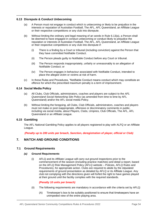#### <span id="page-54-5"></span><span id="page-54-0"></span>**6.13 Disrepute & Conduct Unbecoming**

- (a) A Person must not engage in conduct which is unbecoming or likely to be prejudice in the interests or reputation of Australian Football, The AFL, AFL Queensland, an Affiliate League or their respective competitions or any club into disrepute.
- (b) Without limiting the ordinary and legal meaning of an words in Rule [6.13](#page-54-0)[\(a\),](#page-54-5) a Person shall be deemed to have engaged in conduct unbecoming or conduct likely to prejudice the reputation or interests of Australian Football, The AFL, AFL Queensland, an Affiliate League or their respective competitions or any club into disrepute if:
	- (i) There is a finding by a Court or tribunal (including conviction) against the Person that they have committed Notifiable Conduct.
	- (ii) The Person pleads guilty to Notifiable Conduct before any Court or tribunal.
	- (iii) The Person responds inappropriately, unfairly or unreasonably to an allegation of Notifiable Conduct; or
	- (iv) The Person engages in behaviour associated with Notifiable Conduct, intended to place the alleged victim or victims at risk of harm.
- (c) In these Rules and Procedures, "Notifiable Conduct means conduct which may constitute an offence for which the prescribed maximum penalty is a term of imprisonment.

#### <span id="page-54-1"></span>**6.14 Social Media Policy**

- (a) All Clubs, Club Officials, administrators, coaches and players are subject to the *AFL Queensland Social Networking Site Policy* (as amended from time to time by AFL Queensland) and/or the AFL social media Policy.
- (b) Without limiting the foregoing, all Clubs, Club Officials, administrators, coaches and players must not make or post inappropriate, offensive or discriminatory comments in public, including via social media, about Players, Clubs, Umpires, Club Officials, The AFL, AFL Queensland or an Affiliate League.

#### <span id="page-54-2"></span>**6.15 Gambling**

The AFL National Gambling Policy applies to all players registered to play with ALFQ or an Affiliate League.

*(Penalty up to 200 units per breach, Sanction, deregistration of player, official or Club)*

#### <span id="page-54-3"></span>**7. MATCH AND GROUND CONDITIONS**

#### <span id="page-54-4"></span>**7.1 Ground Requirements**

#### *(a) Ground Requirements*

(i) AFLQ and its Affiliate League will carry out ground inspections prior to the commencement of the season (including practice matches) and detail a report, based on the AFLQ Risk Management Policy (AFLQ website – Policies, AFLQ Rules and Procedures), for appropriate action. Clubs are required to abide by the stipulated requirements of ground presentation as detailed by AFLQ or its Affiliate League. Any club not complying with the directions given will forfeit the right to have games played at their ground until the facility complies with the required standards.

#### *(Penalty 10 units per breach)*

- (ii) The following requirements are mandatory in accordance with the criteria set by AFLQ:
	- (A) Timekeeper's box to be suitably positioned to ensure that timekeepers have an unimpeded view of the entire playing area.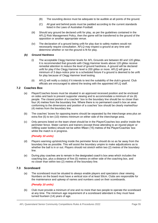- (B) The sounding device must be adequate to be audible at all points of the ground.
- (C) All goal and behind posts must be padded according to the current standards listed in the Laws of Australian Football.
- (iii) Should any ground be declared unfit for play, as per the guidelines contained in the AFLQ Risk Management Policy, then the game will be transferred to the ground of the opposition or another appropriate venue.
- (iv) The declaration of a ground being unfit for play due to safety matters would not necessarily require consultation. AFLQ may inspect a ground at any time and determine whether or not the ground is fit for play.

#### *(b) Ground Hardness*

- (i) The acceptable Clegg Hammer levels for AFL Grounds are between 80 and 120 gMax. It is recommended that grounds with Clegg Hammer levels above 120 gMax receive remedial attention to reduce the level of ground hardness. A ground will be declared unfit for play if the Clegg Hammer level is 200 gMax or more. AFLQ will give a minimum of 3 days-notice prior to a scheduled fixture if a ground is deemed to be unfit for play because of Clegg Hammer level testing.
- (ii) AFLQ will notify a club(s) if it intends to test the suitability of the club's ground. Club officials are encouraged to attend the testing with the appointed AFLQ staff.

#### <span id="page-55-0"></span>**7.2 Coaches Box**

- (a) Player/Coaches boxes must be situated in an approved recessed position and be enclosed on sides and back to prevent supporter viewing and to accommodate a minimum of six (6) people. The closest portion of a coaches' box to the boundary line should be no closer than four (4) metres from the boundary line. Where there is no permanent coach's box an area conforming to the dimensions and position of a coaches' box should be clearly markedfour (4) metres from the boundary line.
- (b) The coaches' boxes for opposing teams should be separated by the interchange area plus an extra five (5) to ten (10) metres minimum on either side of the interchange area.
- (c) Only persons listed on the team sheet should be in the Player/Coaches box and/or inside the perimeter fence. Water carriers and trainers (except those attending to an injured player or refilling water bottles) should not be within fifteen (15) metres of the Player/Coaches' box whilst the match is in progress.

#### *(Penalty 10 units)*

- (d) Players warming up/stretching inside the perimeter fence should do so as far away from the boundary line as possible. This will assist the boundary umpire to make adjudications as to whether the ball is in or out. Players should not stretch within two (2) metres of the boundary line.
- (e) During play coaches are to remain in the designated coach's box area which includes the coaching box, plus a distance of five (5) metres on either side of the coaching box, and no closer than within two (2) metres of the boundary line.

#### <span id="page-55-1"></span>**7.3 Scoreboard**

(a) The scoreboard must be situated to always enable players and spectators clear viewing. Numbers on the board must have a vertical size of at least 50cm. Clubs are responsible for the maintenance and upkeep of names and numbers used on their scoreboards.

#### *(Penalty 10 units)*

(b) Club must provide a minimum of one and no more than two people to operate the scoreboard at any time. The minimum age requirement of a scoreboard attendant is they must have turned fourteen (14) years of age.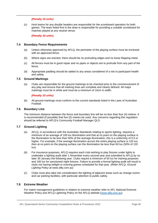#### *(Penalty 10 units)*

(c) Host teams for any double headers are responsible for the scoreboard operation for both games. The team listed first in the draw is responsible for providing a suitable scoreboard for matches played at any neutral venue.

*(Penalty 10 units)*

#### <span id="page-56-0"></span>**7.4 Boundary Fence Requirements**

- (a) Unless otherwise approved by AFLQ, the perimeter of the playing surface must be enclosed with an approved fence.
- (b) Where signs are erected, there should be no protruding edges and no loose flapping metal.
- (c) All fences must be in good repair and no pipes or objects are to protrude from any part of the fence.
- (d) Appropriate padding should be added to any areas considered of a risk to participant health and safety.

#### <span id="page-56-1"></span>**7.5 Ground Markings**

(a) Clubs are responsible for the ground markings to be checked prior to the commencement of any play and ensure that all marking lines are complete and clearly defined. All major markings must be in white and must be a minimum of 10cm in width.

#### *(Penalty 10 units)*

(b) All ground markings must conform to the current standards listed in the Laws of Australian Football.

#### <span id="page-56-2"></span>**7.6 Boundary Line**

The minimum distance between the fence and boundary line will be no less than four (4) metres. It is recommended (if possible) that five (5) metres be used. Any concerns regarding this regulation should be referred to AFLQ's Community Football Manager QLD.

#### <span id="page-56-3"></span>**7.7 Ground Lighting**

- (a) AFLQ, in accordance with the Australian Standards relating to sports lighting, requires a minimum of an average of 100 lux illumination and that at no point on the playing surface is the illumination to be less than 50% of the average illumination, this is a uniformity of 0.5 or higher. For example, if the average illumination across the entire playing surface is 120 lux. then at no point on the playing surface can the illumination be less than 60 lux (50% of 120 lux).
- *(b)* For insurance purposes, AFLQ requires each club wishing to play fixtures under lights to undertake a lighting audit after 1 November every second year and submitted to AFLQ by no later 30 January the following year. Clubs require a minimum of 50 lux for training purposes and 100 lux for sanctioned night fixtures. Failure to provide a formal lighting audit will result in clubs not having twilight or evening games scheduled for that year. *(Refer AFLQ, Ground Lighting Policy at www.aflq.com.au)*
- (c) Clubs must also take into consideration the lighting of adjacent areas such as change rooms and car parking facilities, with particular attention to public safety.

#### <span id="page-56-4"></span>**7.8 Extreme Weather**

For match management guidelines in relation to extreme weather refer to AFL National Extreme Weather Policy and AFLQ Lightning Policy on the AFLQ website [\(www.aflq.com.au\)](http://www.aflq.com.au/).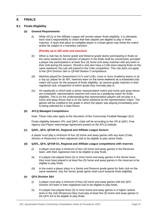#### <span id="page-57-0"></span>**8. FINALS**

#### <span id="page-57-1"></span>**8.1 Finals Eligibility**

#### **(a) General Requirements**

(i) While AFLQ or the Affiliate League will monitor player finals eligibility, it is ultimately each club's responsibility to check that their players are eligible to play in finals matches. A team that plays an ineligible player in a finals game may forfeit the match and/or be subject to a monetary sanction.

#### **(Penalty up to 300 units and sanction)**

- (ii) When a club has its Senior grade and Reserve grade teams participating in finals on the same weekend, the selection of players in the finals shall be unrestricted, provided a player has participated in at least four (4) home and away matches with any team in their club during the season. Should a club also have a Colts team playing finals on the same weekend, this rule will extend to the Colts competition. This rule does not apply to the QFA Division 3&4 or QFAW Division 2 competitions.
- (iii) Matches played for Queensland U17s and U18s, Lions or Suns Academy teams or as a 'top up' player for an AFL reserves team on the same weekend as a scheduled club match will count, for the purpose of finals eligibility, as reserve grade matches in their registered club, irrespective of which grade they normally play in.
- (iv) On weekends in which both a senior representative match and home and away fixture are scheduled, representative matches will count as a qualifying match for finals eligibility. This is on the understanding that representative players will not play in a home and away fixture that is on the same weekend as the representative match. The games will be credited to the grade in which the player was playing immediately prior to being selected for a state fixture.

#### **(b) AFLQ Managed Competitions**

Note: These rules also apply at the discretion of the Community Football Manager QLD.

Finals eligibility between VFL and QAFL clubs will be according to the VFL& QAFL Free Agency and Player Interchange Agreement posted on the AFLQ website.

#### **(c) QAFL, QFA, QFAW D1, Regional and Affiliate League Seniors**

A player must play a minimum of four (4) home and away games with any team (Colts, Seniors or Reserves) in their registered club to be eligible to play senior finals.

#### **(d) QAFL, QFA, QFAW D1, Regional and Affiliate League competitions with reserves**

- (i) A player must play a minimum of four (4) home and away games in the Reserves team, with their registered club to be eligible to play finals.
- (ii) If a player has played three (3) or more home and away games in the Senior team, they must have played in at least five (5) home and away games in the reserves to be eligible to play finals.
- (iii) In the event a player plays in a Senior and Reserve grade game for their club on the same weekend, only the Senior grade game shall count towards finals eligibility.

#### **(e) QFA Division 3&4**

- (i) A player must play a minimum of four (4) home and away games with the QFA Division 3/4 team in their registered club to be eligible to play finals.
- (ii) If a player has played three (3) or more home and away games in a higher ranked team in the club (Reserves) they must play at least five (5) home and away games in the QFA 3/4 to be eligible to play finals.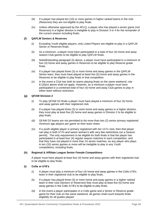- (iii) If a player has played ten (10) or more games in higher ranked teams in the club (Reserves) they are not eligible to play finals.
- (iv) Unless otherwise approved by the AFLQ, a player who has played a senior game (not Reserves) in a higher division is ineligible to play in Division 3 or 4 for the remainder of the current season including finals.

#### <span id="page-58-0"></span>**(f) QAFLW Seniors & Reserves**

- (i) Excluding Youth eligible players, only Listed Players are eligible to play in a QAFLW Senior or Reserves finals.
- (ii) As a minimum, a player must have participated in a total of four (4) home and away season Club games to be eligible to play QAFLW finals.
- (iii) Notwithstanding paragraph (ii) above, a player must have participated in a minimum of four (4) home and away games in Reserves to be eligible to play Reserve grade finals.
- <span id="page-58-1"></span>(iv) If a player has played three (3) or more home and away games in the QAFLW Senior team, they must have played at least five (5) home and away games in the Reserves to be eligible to play finals in that competition.
- (v) In the event a Club has both its teams playing finals on the same weekend, rule [8.1](#page-57-1)[\(f\)](#page-58-0)[\(iv\)](#page-58-1) above shall not apply. However, as a minimum a player must have participated in a combined total of four (4) home and away Club games to play in either team without restriction.

#### **(g) QFAW Division 2**

- (i) To play QFAW D2 finals a player must have played a minimum of four (4) home and away games with their registered club.
- (ii) If a player has played three (3) or more home and away games in a higher division, they must play at least five (5) home and away games in Division 2 to be eligible to play finals.
- (iii) QFAW D2 teams are not permitted to list more than two (2) senior primary registered minimum age players per game on their team sheet.
- (iv) If a youth eligible player is primary registered with her U17s club, then that player can play in both U17s and senior women's with very few restrictions (on a Season permit). The only requirement to be eligible for both finals is that the player has participated in at least four (4) regular season matches in each competition, and that they have not played in more than 10 senior matches, as any player who plays in ten (10) senior games or more will be ineligible to play in any Youth competitions, including finals.

#### **(h) Regional & Affiliate League Senior Female Competitions**

A player must have played at least four (4) home and away games with their registered club to be eligible to play finals.

#### **(i) Colts or U18's**

- (i) A player must play a minimum of four (4) home and away games in the Colts U18's team in their registered club to be eligible to play finals.
- (ii) If a player has played three (3) or more home and away games in a higher ranked team in their club (Seniors or Reserves) they must play at least five (5) home and away games in the Colts /U18's to be eligible to play finals.
- (iii) In the event a player participates in a Colts game and a Senior or Reserve grade game for their club on the same weekend, all games shall count towards finals eligibility for all grades played.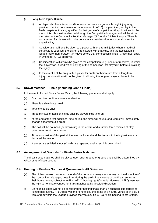#### **(j) Long Term Injury Clause**

- (i) A player who has missed six (6) or more consecutive games through injury may, provided medical documentation is forwarded to AFLQ, be permitted, to play in the finals despite not having qualified for that grade of competition. All applications for the use of this rule must be directed through the Competition Manager and will be at the discretion of the Community Football Manager QLD or the Affiliate League. There is no provision for players who miss consecutive matches due to suspension and/or unavailability.
- (ii) Consideration will only be given to a player with long term injuries when a medical certificate is supplied, the player is registered with that club, and the application is lodged more than fourteen (14) days before that competition's finals. Clubs must apply in writing for AFLQ approval.
- (iii) Consideration will always be given to the competition (e.g., senior or reserves) in which the player was injured whilst playing or the competition last played in before sustaining the injury.
- (iv) In the event a club can qualify a player for finals on their return from a long-term injury, consideration will not be given to allowing the long-term injury clause to be used.

#### <span id="page-59-0"></span>**8.2 Drawn Matches – Finals (including Grand Finals)**

In the event of a tied Finals Series Match, the following procedure shall apply:

- (a) Goal umpires confirm scores are identical.
- (b) There is a six-minute break.
- (c) Teams change ends.
- (d) Three minutes of additional time shall be played, plus time-on.
- (e) At the end of the first additional time period, the siren will sound, and teams will immediately change ends without a break.
- (f) The ball will be bounced (or thrown up) in the centre and a further three minutes of play (plus time-on) will commence.
- (g) At the conclusion of this period, the siren will sound and the team with the highest score is declared the winner.
- (h) If scores are still tied, steps  $(c) (h)$  are repeated until a result is determined.

#### <span id="page-59-1"></span>**8.3 Arrangement of Grounds for Finals Series Matches**

The finals series matches shall be played upon such ground or grounds as shall be determined by AFLQ or its Affiliate League.

#### <span id="page-59-2"></span>**8.4 Hosting of Finals – Southeast Queensland - All Divisions**

- (a) The highest ranked teams at the end of the home and away season may, at the discretion of the Competition Manager, host finals during the preliminary weeks of the finals' series at their home venue, subject to fulfilling AFLQ 'hosting rights' criteria. However, AFLQ reserves the right to nominate venues for finals matches at its absolute discretion.
- (b) Un-financial clubs will not be considered for hosting finals. If an un-financial club forfeits its right to host a final, AFLQ reserves the right to play the game at a neutral venue or at a club venue from within the League provided the venue fulfils AFLQ finals 'hosting rights' criteria.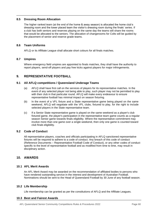#### <span id="page-60-0"></span>**8.5 Dressing Room Allocation**

The higher ranked team (at the end of the home & away season) is allocated the home club's dressing room and the lower placed team the visitor's dressing room during the finals' series. If a club has both seniors and reserves playing on the same day the teams will share the rooms that would be allocated to the seniors. The allocation of changerooms for Colts will be guided by the placement of senior and reserve grade teams.

#### <span id="page-60-1"></span>**8.6 Team Uniforms**

AFLQ or its Affiliate League shall allocate short colours for all finals matches.

#### <span id="page-60-2"></span>**8.7 Umpires**

Where emergency field umpires are appointed to finals matches, they shall have the authority to report players, send-off players and pay free kicks against players for major infringements.

#### <span id="page-60-3"></span>**9. REPRESENTATIVE FOOTBALL**

#### <span id="page-60-4"></span>**9.1 All AFLQ competitions / Queensland Underage Teams**

- (a) AFLQ shall have first call on the services of players for its representative matches. In the event of any selected player not being able to play, such player may not be permitted to play with their club in that particular round. AFLQ will make every endeavour to ensure representative football has minimal impact on season fixturing.
- (b) In the event of a VFL fixture and a State representative game being played on the same weekend, AFLQ will negotiate with the VFL clubs, fixtured to play, for the right to include selected players in the State representative team.
- (c) If a Senior State representative game is played on the same weekend as a player's club fixtured game, the player's participation in the representative team game counts as a regular season Senior game towards finals eligibility. Where the representative commitment may involve more than one game over a single weekend, then only one game is counted toward club finals eligibility.

#### <span id="page-60-5"></span>**9.2 Code of Conduct**

All representative players, coaches and officials participating in AFLQ sanctioned representative fixtures will be required to adhere to a code of conduct. Any breach of this code of conduct (Reference Documents – Representative Football Code of Conduct), or any other codes of conduct specific to the level of representative football and as modified from time to time, may result in disciplinary action.

#### <span id="page-60-6"></span>**10. AWARDS**

#### <span id="page-60-7"></span>**10.1 AFL Merit Awards**

An AFL Merit Award may be awarded on the recommendation of affiliated bodies to persons who have rendered outstanding service in the interest and development of Australian Football. Nominations should be sent to the Head of Queensland Football by 30 June of any football season.

#### <span id="page-60-8"></span>**10.2 Life Membership**

Life membership can be granted as per the constitutions of AFLQ and the Affiliate Leagues.

#### <span id="page-60-9"></span>**10.3 Best and Fairest Awards**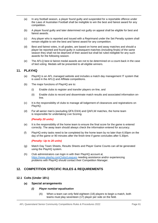- (a) In any football season, a player found guilty and suspended for a reportable offence under the Laws of Australian Football shall be ineligible to win the best and fairest award for any competition.
- (b) A player found guilty and later determined not guilty on appeal shall be eligible for best and fairest awards.
- (c) Any player who is reported and issued with a Reprimand under the Set Penalty system shall remain eligible to win the best and fairest award for any competition.
- (d) Best and fairest votes, in all grades, are based on home and away matches and should a player be reported and found guilty in subsequent matches (including finals) of the same season they shall not be deprived of their award but shall be ruled ineligible for any such awards for the following season.
- (e) The AFLQ best & fairest medal awards are not to be determined on a count-back in the case of tied voting. Medals will be presented to all eligible winners.

#### <span id="page-61-0"></span>**11. PLAYHQ**

- (a) PlayHQ is an AFL managed website and includes a match day management IT system that is used in the AFLQ and Affiliate competitions.
- (b) The major functions of PlayHQ are to:
	- (i) Enable clubs to register and transfer players on-line, and
	- (ii) Enable clubs to record and disseminate match results and associated information online.
- (c) It is the responsibility of clubs to manage all lodgement of clearances and registrations on PlayHQ.
- (d) For all senior men's (excluding QFA D3/4) and QAFLW matches, the home team is responsible for undertaking Live Scoring.

#### *(Penalty 20 units)*

- (e) It is the responsibility of the home team to ensure the final score for the game is entered correctly. The away team should always check the information entered for accuracy.
- (f) PlayHQ entry tasks need to be completed by the home team by no later than 6.00pm on the day of the game or 90 minutes after the finish time if game concludes after 5.30pm.

#### *(Penalty: Up to 20 units)*

- (g) Match Day Team Sheets, Results Sheets and Player Game Counts can all be generated using the PlayHQ system.
- (h) Club administrators can login in with their PlayHQ account at https://www.playhq.comClubs/Leagues needing assistance and/or experiencing problems with PlayHQ should contact their Competition Manager.

#### <span id="page-61-1"></span>**12. COMPETITION SPECIFIC RULES & REQUIREMENTS**

#### <span id="page-61-3"></span><span id="page-61-2"></span>**12.1 Colts (Under 18½)**

#### **(a) Special arrangements**

#### *(i) Player number equalisation*

(A) When a team can only field eighteen (18) players to begin a match, both teams must play seventeen (17) player per side on the field.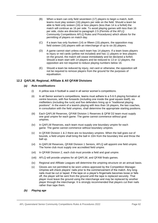- (B) When a team can only field seventeen (17) players to begin a match, both teams must play sixteen (16) players per side on the field. Should a team be able to field only sixteen (16) or less players (less than 14 is a forfeit) the match will continue as 16 per side. To avoid playing games with less than 16 per side, clubs are directed to paragraph 2.5 (Permits of the AFLQ Community Competitions AFLQ Rules and Procedures) which allows for the permitting of players on match day.
- (C) If a team has only fourteen (14) or fifteen (15) players, the opposition may field sixteen (16) players with an interchange of up to six (6) players.
- (D) A game cannot start unless each team has 14 players. If a team loses players to injury or red cards (yellow not included) and has 11 players or less players on the ground, the match will cease immediately and be declared a forfeit. Should a team start with 14 players and be reduced to 13 or 12 players, the opposition are not required to reduce playing numbers below 16.
- (E) Should a team be reduced by injury, red card or otherwise, the opposition will not be required to remove players from the ground for the purposes of equalisation.

#### <span id="page-62-0"></span>**12.2 QAFLW, Regional, Affiliate & All QFAW Divisions**

#### *(a) Rule modifications*

- (i) A yellow size 4 football is used in all senior women's competitions.
- (ii) In all Senior women's competitions, teams must adhere to a 5-6-5 playing formation at centre bounces, with five forwards (including one inside the goal square itself), six midfielders (including the ruck) and five defenders lining up in "traditional playing positions". In the event of a team/s playing with less than 16 players, the two coaches, in consultation with the field umpires, shall determine the appropriate starting positions.
- (iii) Each QAFLW Reserves, QFAW Division 1 Reserves & QFW D2 team must supply one goal umpire for each game. The game cannot commence without goal umpires.
- (iv) In QAFLW Reserves, each team must supply one boundary umpire for each game. The game cannot commence without boundary umpires.
- (v) In QFAW Division 1 & 2 there are no boundary umpires. When the ball goes out of bounds, a field umpire shall bring the ball in 10m from the boundary line and throw the ball up.
- (vi) In QAFLW Reserves, QFAW Division 1 Seniors, AFLQ will appoint one field umpire. The home club must supply one accredited field umpire.
- (vii) In QFAW Division 2, each club must provide a field and goal umpire.
- (viii) AFLQ will provide umpires for all QAFLW, and QFAW finals games.
- (ix) Regional and Affiliate Leagues will determine the umpiring structure on an annual basis.
- (x) Gloves are not permitted to be worn unless approved by the Competition Manager. Umpires will check players' nails prior to the commencement of the match. Any long nails must be cut or taped. If the tape on a player's fingernails becomes loose or falls off, the player will be sent from the ground until the tape is replaced securely. That player must leave the ground using the interchange and may be replaced by another player through the interchange. It is strongly recommended that players cut their nails rather than tape them.
- <span id="page-62-1"></span>*(b) Playing age*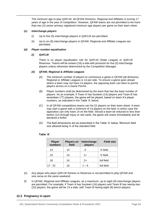The minimum age to play QAFLW, all QFAW Divisions, Regional and Affiliates is turning 17 years of age in the year of competition. However, QFAW teams are not permitted to list more than two (2) senior primary registered minimum age players per game on their team sheet.

#### *(c) Interchange players*

- (i) Up to five (5) interchange players in QAFLW are permitted.
- (ii) Up to six (6) interchange players in QFAW, Regional and Affiliate Leagues are permitted.

#### *(d) Player number equalisation*

#### *(i) QAFLW*

There is no player equalisation rule for QAFLW (State League) or QAFLW Reserves. Teams will be sixteen (16) a side with provision for five (5) interchange players unless otherwise determined by the Competition Manager.

#### *(ii) QFAW, Regional & Affiliate Leagues*

- (A) The minimum number of players to commence a game in QFAW (all divisions), Regional or Affiliate Leagues is 14 per side. To ensure a game goes ahead where a team may not have 14 players, the opposing team can elect to permit players across on a Game Permit.
- (B) Player numbers shall be determined by the team that has the least number of players. As an example, if Team A has fourteen (14) players and Team B has seventeen (17) players, the game will be played, based on team A's player numbers, as indicated in the Table 'A' below.
- (C) In all QFAW competitions teams can list 22 players on their team sheet. A team may start a game with a minimum of 14 players on the field, in which case the opposition can only have 14 on the field. Should a team be reduced to less than twelve (12) through injury or red cards, the game will cease immediately and be declared a forfeit.
- (D) The field dimensions are as prescribed in the Table 'A' below. Minimum field size allowed being ¾ of the standard field.

| <b>Player</b><br>numbers | <b>Players on</b><br>field | Interchange<br>players | <b>Field size</b>   |
|--------------------------|----------------------------|------------------------|---------------------|
| 14                       | 14                         | 0                      | $\frac{3}{4}$ field |
| 15                       | 14                         | $1+$                   | $\frac{3}{4}$ field |
| 16                       | 14                         | $2+$                   | full field          |
| $17 - 22$                | 16                         | 1 – 6                  | full field          |

#### **Table 'A'**

- (e) Any player who plays QAFLW Seniors or Reserves is not permitted to play QFAW and vice versa on the same weekend.
- (f) In QFAW, Regional and Affiliate Leagues, as a maximum, up to eight (8) interchange players are permitted. For example, if Team A has fourteen (14) players and Team B has twenty-two (22) players, the game will be 14 a-side, with Team B having eight (8) bench players.

#### <span id="page-63-0"></span>**12.3 Pregnancy in sport**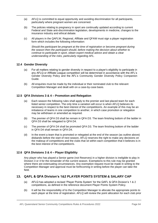- (a) AFLQ is committed to equal opportunity and avoiding discrimination for all participants, particularly where pregnant women are concerned.
- (b) The policies relating to pregnancy in sport are continually updated according to current Federal and State anti-discrimination legislation, developments in medicine, changes to the insurance industry and ethical debate.
- (c) All players in the QAFLW, Regional, Affiliate and QFAW must sign a player registration form which includes the following information:

*Should the participant be pregnant at the time of registration or become pregnant during the season then the participant should, before making the decision about whether to continue to participate in sport, obtain expert medical advice and obtain a clear understanding of the risks, particularly regarding AFL.*

#### <span id="page-64-0"></span>**12.4 Gender Diversity**

- (a) For all matters relating to gender diversity in respect to a player's eligibility to participate in any AFLQ or Affiliate League competition will be determined in accordance with the AFL's Gender Diversity Policy and the AFL's Community Gender Diversity Policy Companion Guide.
- (b) All enquiries must be made by the individual or their nominated club to the relevant Competition Manager and dealt with on a case-by-case basis.

#### <span id="page-64-1"></span>**12.5 QFA Divisions 3 & 4 – Promotion and Relegation**

- (a) Each season the following rules shall apply to the premier and last placed team for each listed senior competition. The only time a variation will occur is when AFLQ believes its necessary in respect to the best interest of the competition/s. An example of this may be an imbalance of teams in one competition to another, in which case promotion or relegation may be withdrawn or amended as required.
- (b) The premier of QFA D3 shall be remain in QFA D3. The team finishing bottom of the ladder in QFA D3 shall be relegated to QFA D4.
- (c) The premier of QFA D4 shall be promoted QFA D3. The team finishing bottom of the ladder in QFA D4 shall remain in QFA D4.
- (d) In the event a team that is promoted or relegated at the end of the season (as outline above) disbands before the start of next season, AFLQ reserves the right to make any decisions on the makeup of competitions and the clubs that sit within each competition that it believes is in the best interest of the competition/s.

#### <span id="page-64-2"></span>**12.6 QFA Divisions 3 & 4 – Player Eligibility**

Any player who has played a Senior game (not Reserves) in a higher division is ineligible to play in Division 3 or 4 for the remainder of the current season. Exemptions to this rule may be granted where there are extenuating circumstances. Any exemption request must be made in writing to the Competition Manager and approval must be forthcoming in writing before the player can take the field.

#### <span id="page-64-3"></span>**13. QAFL & QFA Division's 1&2 PLAYER POINTS SYSTEM & SALARY CAP**

- (a) AFLQ has adopted a revised 'Player Points System' for the QAFL & QFA Division's 1 & 2 competitions, as defined in the reference document Player Points System Policy.
- (b) It will be the responsibility of to the Competition Manager to allocate the appropriate points to each player at the time of registration. AFLQ will review the point allocation for each club prior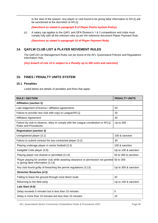to the start of the season. Any player or club found to be giving false information to AFLQ will be sanctioned at the discretion of AFLQ.

*(Sanctions as stated in paragraph 8 of Player Points System Policy)*

(c) A salary cap applies to the QAFL and QFA Division's 1 & 2 competitions and clubs must comply fully with all the relevant rules as per the reference document Player Payment Rule.

*(Sanctions as stated in paragraph 15 of Player Payment Rule)*

#### <span id="page-65-0"></span>**14. QAFLW CLUB LIST & PLAYER MOVEMENT RULES**

The QAFLW List Management Rules can be found of the AFL Queensland Policies and Regulations Information Hub.

*(Any breach of rule 14 is subject to a Penalty up to 300 units and sanction)*

#### <span id="page-65-1"></span>**15. FINES / PENALTY UNITS SYSTEM**

#### <span id="page-65-2"></span>**15.1 Penalties**

Listed below are details of penalties and fines that apply:

| <b>RULE / SECTION</b>                                                                                                              | <b>PENALTY UNITS</b> |
|------------------------------------------------------------------------------------------------------------------------------------|----------------------|
| <b>Affiliation (section 2)</b>                                                                                                     |                      |
| Late lodgement of licence / affiliation agreements                                                                                 | 20                   |
| Failure to provide new club with copy to League/AFLQ                                                                               | 20                   |
| <b>Affiliation Agreement</b>                                                                                                       | 20                   |
| Failure by club to observe, obey or comply with the League constitution or AFLQ<br><b>Rules and Procedures</b>                     | Up to 300            |
| <b>Registration (section 3)</b>                                                                                                    |                      |
| Unregistered player (3.1)                                                                                                          | 100 & sanction       |
| Failure to submit contract for any contracted player (3.2)                                                                         | 30                   |
| Playing underage player in senior football (3.3)                                                                                   | 100 & sanction       |
| Ineligible Colts player (3.8)                                                                                                      | Up to 100 & sanction |
| Playing player not cleared or permitted (3.13)                                                                                     | 50 to 300 & sanction |
| Player playing for another club while awaiting clearance or permission not granted 50 to 300<br>or giving false information (3.13) |                      |
| Any club found guilty of breaching the permit regulations (3.13)                                                                   | Up to 300 & sanction |
| <b>Stretcher Breaches (4.3)</b>                                                                                                    |                      |
| Failing to leave the ground through most direct route                                                                              | 20                   |
| Returning to the field early                                                                                                       | Up to 100 & sanction |
| Late Start (4.6)                                                                                                                   |                      |
| Delay exceeds 5 minutes but is less than 10 minutes                                                                                | 5                    |
| Delay is more than 10 minutes but less than 15 minutes                                                                             | 10                   |

AFL Queensland Senior Community Competitions Rules & Procedures 2022 **Page 65** Page 65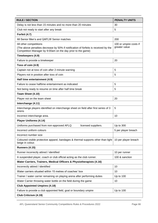| <b>RULE / SECTION</b>                                                                                                                              | <b>PENALTY UNITS</b>   |
|----------------------------------------------------------------------------------------------------------------------------------------------------|------------------------|
| Delay is not less than 15 minutes and no more than 20 minutes                                                                                      | 30                     |
| Club not ready to start after any break                                                                                                            | 5                      |
| Forfeit (4.7)                                                                                                                                      |                        |
| All Senior Men's and QAFLW Senior matches                                                                                                          | 200                    |
| All other competitions                                                                                                                             | 100 or umpire costs if |
| (The above penalties decrease by 50% if notification of forfeits is received by the<br>Competition Manager by 9:00am on the day prior to the game) | greater value          |
| Timekeepers (4.9)                                                                                                                                  |                        |
| Failure to provide a timekeeper                                                                                                                    | 20                     |
| Toss of coin (4.9)                                                                                                                                 |                        |
| Captain not at toss of coin after 2-minute warning                                                                                                 | 5                      |
| Players not in position after toss of coin                                                                                                         | 5                      |
| Half time entertainment (4.9)                                                                                                                      |                        |
| Failure to cease halftime entertainment as indicated                                                                                               | 5                      |
| Not being ready to resume on time after half time break                                                                                            | 5                      |
| Team Sheet (4.10)                                                                                                                                  |                        |
| Player not on the team sheet                                                                                                                       | 20                     |
| Interchange (4.11)                                                                                                                                 |                        |
| Interchange players identified on interchange sheet on field after first series of 3<br>sirens                                                     | 5                      |
| Incorrect interchange area.                                                                                                                        | 10                     |
| <b>Player Uniforms (4.14)</b>                                                                                                                      |                        |
| Uniforms purchased from non-approved AFLQ<br>licensed suppliers.                                                                                   | Up to 300              |
| Incorrect uniform colours                                                                                                                          | 5 per player breach    |
| Incorrect number size                                                                                                                              |                        |
| Coloured visible protective apparel, bandages & thermal supports other than light<br>beige in colour.                                              | 10 per player breach   |
| <b>Runners (4.15)</b>                                                                                                                              |                        |
| Runner incorrectly attired / identified                                                                                                            | 10 per runner          |
| A suspended player, coach or club official acting as the club runner.                                                                              | 100 & sanction         |
| Water Carriers, Trainers, Medical Officers & Physiotherapists (4.16)                                                                               |                        |
| Incorrectly attired / identified                                                                                                                   | 10                     |
| Water carriers situated within 15 metres of coaches' box                                                                                           | 10                     |
| Trainer / water carrier remaining on playing arena after performing duties                                                                         | Up to 100              |
| Water Carrier throwing water bottle on the field during the game                                                                                   | 10                     |
| <b>Club Appointed Umpires (4.18)</b>                                                                                                               |                        |
| Failure to provide a club appointed field, goal or boundary umpire                                                                                 | Up to 100              |
| Club Criticism (4.19)                                                                                                                              |                        |

AFL Queensland Senior Community Competitions Rules & Procedures 2022 **Page 66**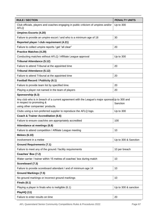| <b>RULE / SECTION</b>                                                                                                                                           | <b>PENALTY UNITS</b> |
|-----------------------------------------------------------------------------------------------------------------------------------------------------------------|----------------------|
| Club officials, players and coaches engaging in public criticism of umpires and/or<br><b>AFLQ</b>                                                               | Up to 300            |
| <b>Umpires Escorts (4.20)</b>                                                                                                                                   |                      |
| Failure to provide an umpire escort / and who is a minimum age of 18                                                                                            | 30                   |
| Reported player / club requirement (4.21)                                                                                                                       |                      |
| Failure to collect umpire reports / get "all clear"                                                                                                             | 20                   |
| <b>Practice Matches (4.29)</b>                                                                                                                                  |                      |
| Conducting matches without AFLQ / Affiliate League approval                                                                                                     | Up to 300            |
| <b>Tribunal Attendance (5.12)</b>                                                                                                                               |                      |
| Failure to attend Tribunal at the appointed time                                                                                                                | 20                   |
| <b>Tribunal Attendance (5.12)</b>                                                                                                                               |                      |
| Failure to attend Tribunal at the appointed time                                                                                                                | 20                   |
| <b>Football Record / Publicity (6.1)</b>                                                                                                                        |                      |
| Failure to provide team list by specified time.                                                                                                                 | 20                   |
| Playing a player not named in the team of players                                                                                                               | 20                   |
| Sponsorship (6.3)                                                                                                                                               |                      |
| Any club who is in breach of a current agreement with the League's major sponsol Up to 300 and<br>in respect to promoting &<br>using other companies' products. | Sanction             |
| Clubs using a non-preferred supplier to reproduce the AFLQ logo.                                                                                                | Up to 300            |
| <b>Coach &amp; Trainer Accreditation (6.6)</b>                                                                                                                  |                      |
| Failure to ensure coach/es are appropriately accredited                                                                                                         | 100                  |
| Attendance at meetings (6.8)                                                                                                                                    |                      |
| Failure to attend competition / Affiliate League meeting                                                                                                        | 10                   |
| <b>Melees (6.10)</b>                                                                                                                                            |                      |
| Involvement in a melee                                                                                                                                          | Up to 300 & Sanction |
| <b>Ground Requirements (7.1)</b>                                                                                                                                |                      |
| Failure to meet any of the ground / facility requirements                                                                                                       | 10 per breach        |
| Coaches' Box (7.2)                                                                                                                                              |                      |
| Water carrier / trainer within 15 metres of coaches' box during match                                                                                           | 10                   |
| Scoreboard (7.3)                                                                                                                                                |                      |
| Failure to provide scoreboard attendant / and of minimum age 14                                                                                                 | 10                   |
| <b>Ground Markings (7.5)</b>                                                                                                                                    |                      |
| No ground markings or incorrect ground markings                                                                                                                 | 10                   |
| <b>Finals (8.1)</b>                                                                                                                                             |                      |
| Playing a player in finals who is ineligible (6.1)                                                                                                              | Up to 300 & sanction |
| PlayHQ (11)                                                                                                                                                     |                      |
| Failure to enter results on time                                                                                                                                | 20                   |

AFL Queensland Senior Community Competitions Rules & Procedures 2022 Page 67